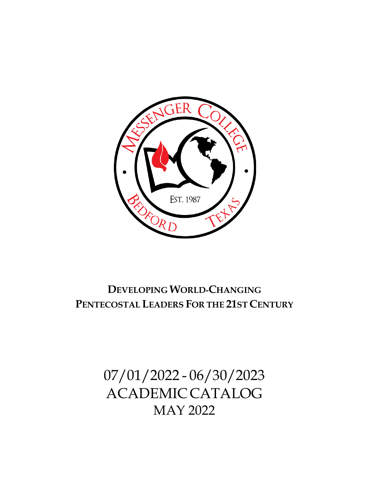

## **DEVELOPINGWORLD-CHANGING PENTECOSTAL LEADERS FOR THE 21ST CENTURY**

07/01/2022 - 06/30/2023 ACADEMICCATALOG MAY 2022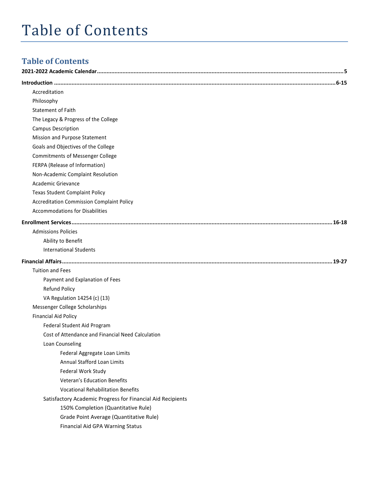# Table of Contents

## **Table of Contents**

| Accreditation                                               |
|-------------------------------------------------------------|
| Philosophy                                                  |
| <b>Statement of Faith</b>                                   |
| The Legacy & Progress of the College                        |
| <b>Campus Description</b>                                   |
| Mission and Purpose Statement                               |
| Goals and Objectives of the College                         |
| <b>Commitments of Messenger College</b>                     |
| FERPA (Release of Information)                              |
| Non-Academic Complaint Resolution                           |
| Academic Grievance                                          |
| <b>Texas Student Complaint Policy</b>                       |
| <b>Accreditation Commission Complaint Policy</b>            |
| <b>Accommodations for Disabilities</b>                      |
|                                                             |
| <b>Admissions Policies</b>                                  |
| Ability to Benefit                                          |
| <b>International Students</b>                               |
|                                                             |
| <b>Tuition and Fees</b>                                     |
| Payment and Explanation of Fees                             |
| <b>Refund Policy</b>                                        |
| VA Regulation 14254 (c) (13)                                |
| Messenger College Scholarships                              |
| <b>Financial Aid Policy</b>                                 |
| Federal Student Aid Program                                 |
| Cost of Attendance and Financial Need Calculation           |
| Loan Counseling                                             |
| Federal Aggregate Loan Limits                               |
| Annual Stafford Loan Limits                                 |
| Federal Work Study                                          |
| <b>Veteran's Education Benefits</b>                         |
| <b>Vocational Rehabilitation Benefits</b>                   |
| Satisfactory Academic Progress for Financial Aid Recipients |
| 150% Completion (Quantitative Rule)                         |
| Grade Point Average (Quantitative Rule)                     |
| <b>Financial Aid GPA Warning Status</b>                     |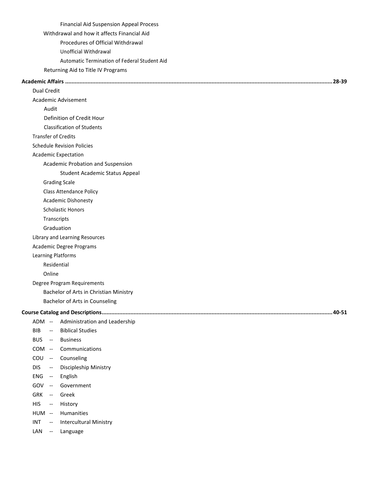| <b>Financial Aid Suspension Appeal Process</b>            |
|-----------------------------------------------------------|
| Withdrawal and how it affects Financial Aid               |
| Procedures of Official Withdrawal                         |
| Unofficial Withdrawal                                     |
| Automatic Termination of Federal Student Aid              |
| Returning Aid to Title IV Programs                        |
|                                                           |
| <b>Dual Credit</b>                                        |
| Academic Advisement                                       |
| Audit                                                     |
| Definition of Credit Hour                                 |
| <b>Classification of Students</b>                         |
| <b>Transfer of Credits</b>                                |
| <b>Schedule Revision Policies</b>                         |
| <b>Academic Expectation</b>                               |
| Academic Probation and Suspension                         |
| <b>Student Academic Status Appeal</b>                     |
| <b>Grading Scale</b>                                      |
| <b>Class Attendance Policy</b>                            |
| <b>Academic Dishonesty</b>                                |
| <b>Scholastic Honors</b>                                  |
| Transcripts                                               |
| Graduation                                                |
| Library and Learning Resources                            |
| Academic Degree Programs                                  |
| Learning Platforms                                        |
| Residential                                               |
| Online                                                    |
| Degree Program Requirements                               |
| Bachelor of Arts in Christian Ministry                    |
| Bachelor of Arts in Counseling                            |
|                                                           |
| ADM --<br>Administration and Leadership                   |
| <b>BIB</b><br><b>Biblical Studies</b><br>$\sim$           |
| <b>BUS</b><br>-- Business                                 |
| COM -- Communications                                     |
| COU -- Counseling                                         |
| <b>DIS</b><br>Discipleship Ministry<br>$- \,$             |
| ENG<br>English<br>$\sim$ $\sim$                           |
| GOV --<br>Government                                      |
| <b>GRK</b><br>-- Greek                                    |
| <b>HIS</b><br>History<br>$\sim$ $-$                       |
| HUM --<br>Humanities                                      |
| <b>INT</b><br><b>Intercultural Ministry</b><br>$\sim$ $-$ |
| LAN<br>Language<br>$\sim$                                 |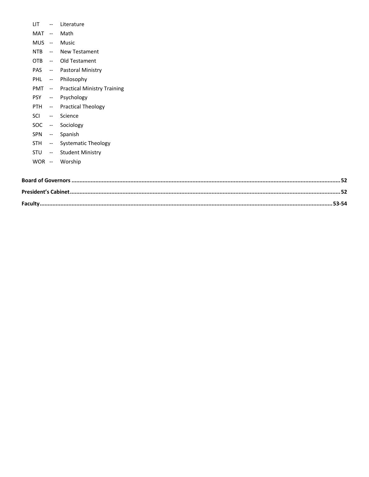- LIT -- Literature
- MAT -- Math
- MUS -- Music
- NTB -- New Testament
- OTB -- Old Testament
- PAS -- Pastoral Ministry
- PHL -- Philosophy
- PMT -- Practical Ministry Training
- PSY -- Psychology
- PTH -- Practical Theology
- SCI -- Science
- SOC -- Sociology
- SPN -- Spanish
- STH -- Systematic Theology
- STU -- Student Ministry
- WOR -- Worship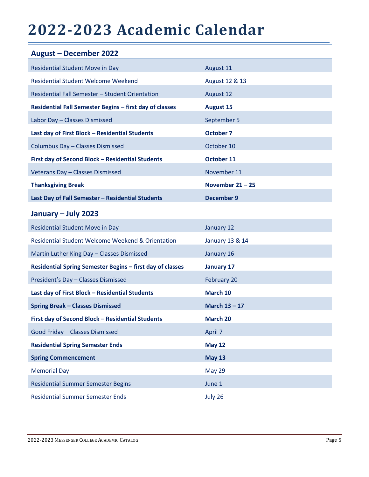## **2022-2023 Academic Calendar**

| <b>August - December 2022</b>                                |                    |
|--------------------------------------------------------------|--------------------|
| <b>Residential Student Move in Day</b>                       | August 11          |
| <b>Residential Student Welcome Weekend</b>                   | August 12 & 13     |
| Residential Fall Semester - Student Orientation              | August 12          |
| Residential Fall Semester Begins - first day of classes      | <b>August 15</b>   |
| Labor Day - Classes Dismissed                                | September 5        |
| Last day of First Block - Residential Students               | <b>October 7</b>   |
| Columbus Day - Classes Dismissed                             | October 10         |
| First day of Second Block - Residential Students             | October 11         |
| Veterans Day - Classes Dismissed                             | November 11        |
| <b>Thanksgiving Break</b>                                    | November $21 - 25$ |
| Last Day of Fall Semester - Residential Students             | <b>December 9</b>  |
| January - July 2023                                          |                    |
| <b>Residential Student Move in Day</b>                       | January 12         |
| <b>Residential Student Welcome Weekend &amp; Orientation</b> | January 13 & 14    |
| Martin Luther King Day - Classes Dismissed                   | January 16         |
| Residential Spring Semester Begins - first day of classes    | <b>January 17</b>  |
| President's Day - Classes Dismissed                          | February 20        |
| Last day of First Block - Residential Students               | March 10           |
| <b>Spring Break - Classes Dismissed</b>                      | March $13 - 17$    |
| First day of Second Block - Residential Students             | March 20           |
| Good Friday - Classes Dismissed                              | April 7            |
| <b>Residential Spring Semester Ends</b>                      | <b>May 12</b>      |
| <b>Spring Commencement</b>                                   | <b>May 13</b>      |
| <b>Memorial Day</b>                                          | <b>May 29</b>      |
| <b>Residential Summer Semester Begins</b>                    | June 1             |
| <b>Residential Summer Semester Ends</b>                      | July 26            |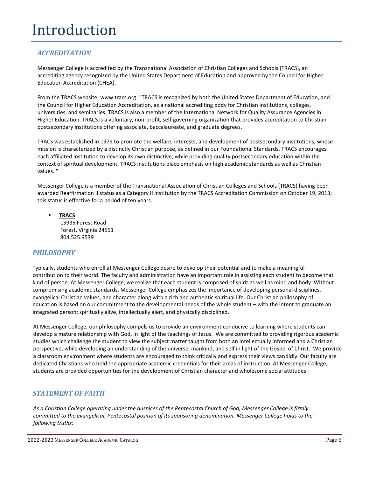## Introduction

## *ACCREDITATION*

Messenger College is accredited by the Transnational Association of Christian Colleges and Schools (TRACS), an accrediting agency recognized by the United States Department of Education and approved by the Council for Higher Education Accreditation (CHEA).

From the TRACS website, [www.tracs.org:](http://www.tracs.org/) "TRACS is recognized by both the United States Department of Education, and the Council for Higher Education Accreditation, as a national accrediting body for Christian institutions, colleges, universities, and seminaries. TRACS is also a member of the International Network for Quality Assurance Agencies in Higher Education. TRACS is a voluntary, non-profit, self-governing organization that provides accreditation to Christian postsecondary institutions offering associate, baccalaureate, and graduate degrees.

TRACS was established in 1979 to promote the welfare, interests, and development of postsecondary institutions, whose mission is characterized by a distinctly Christian purpose, as defined in our Foundational Standards. TRACS encourages each affiliated institution to develop its own distinctive, while providing quality postsecondary education within the context of spiritual development. TRACS institutions place emphasis on high academic standards as well as Christian values. "

Messenger College is a member of the Transnational Association of Christian Colleges and Schools (TRACS) having been awarded Reaffirmation II status as a Category II institution by the TRACS Accreditation Commission on October 19, 2013; this status is effective for a period of ten years.

▪ **[TRACS](http://www.tracs.org/)** 15935 Forest Road Forest, Virginia 24551 804.525.9539

### *PHILOSOPHY*

Typically, students who enroll at Messenger College desire to develop their potential and to make a meaningful contribution to their world. The faculty and administration have an important role in assisting each student to become that kind of person. At Messenger College, we realize that each student is comprised of spirit as well as mind and body. Without compromising academic standards, Messenger College emphasizes the importance of developing personal disciplines, evangelical Christian values, and character along with a rich and authentic spiritual life. Our Christian philosophy of education is based on our commitment to the developmental needs of the whole student – with the intent to graduate an integrated person: spiritually alive, intellectually alert, and physically disciplined.

At Messenger College, our philosophy compels us to provide an environment conducive to learning where students can develop a mature relationship with God, in light of the teachings of Jesus. We are committed to providing rigorous academic studies which challenge the student to view the subject matter taught from both an intellectually informed and a Christian perspective, while developing an understanding of the universe, mankind, and self in light of the Gospel of Christ. We provide a classroom environment where students are encouraged to think critically and express their views candidly. Our faculty are dedicated Christians who hold the appropriate academic credentials for their areas of instruction. At Messenger College, students are provided opportunities for the development of Christian character and wholesome social attitudes.

### *STATEMENT OF FAITH*

*As a Christian College operating under the auspices of the Pentecostal Church of God, Messenger College is firmly committed to the evangelical, Pentecostal position of its sponsoring denomination. Messenger College holds to the following truths:*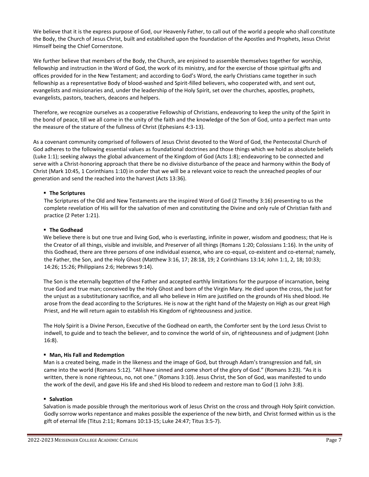We believe that it is the express purpose of God, our Heavenly Father, to call out of the world a people who shall constitute the Body, the Church of Jesus Christ, built and established upon the foundation of the Apostles and Prophets, Jesus Christ Himself being the Chief Cornerstone.

We further believe that members of the Body, the Church, are enjoined to assemble themselves together for worship, fellowship and instruction in the Word of God, the work of its ministry, and for the exercise of those spiritual gifts and offices provided for in the New Testament; and according to God's Word, the early Christians came together in such fellowship as a representative Body of blood-washed and Spirit-filled believers, who cooperated with, and sent out, evangelists and missionaries and, under the leadership of the Holy Spirit, set over the churches, apostles, prophets, evangelists, pastors, teachers, deacons and helpers.

Therefore, we recognize ourselves as a cooperative Fellowship of Christians, endeavoring to keep the unity of the Spirit in the bond of peace, till we all come in the unity of the faith and the knowledge of the Son of God, unto a perfect man unto the measure of the stature of the fullness of Christ (Ephesians 4:3-13).

As a covenant community comprised of followers of Jesus Christ devoted to the Word of God, the Pentecostal Church of God adheres to the following essential values as foundational doctrines and those things which we hold as absolute beliefs (Luke 1:1); seeking always the global advancement of the Kingdom of God (Acts 1:8); endeavoring to be connected and serve with a Christ-honoring approach that there be no divisive disturbance of the peace and harmony within the Body of Christ (Mark 10:45, 1 Corinthians 1:10) in order that we will be a relevant voice to reach the unreached peoples of our generation and send the reached into the harvest (Acts 13:36).

#### ▪ **The Scriptures**

The Scriptures of the Old and New Testaments are the inspired Word of God (2 Timothy 3:16) presenting to us the complete revelation of His will for the salvation of men and constituting the Divine and only rule of Christian faith and practice (2 Peter 1:21).

#### ▪ **The Godhead**

We believe there is but one true and living God, who is everlasting, infinite in power, wisdom and goodness; that He is the Creator of all things, visible and invisible, and Preserver of all things (Romans 1:20; Colossians 1:16). In the unity of this Godhead, there are three persons of one individual essence, who are co-equal, co-existent and co-eternal; namely, the Father, the Son, and the Holy Ghost (Matthew 3:16, 17; 28:18, 19; 2 Corinthians 13:14; John 1:1, 2, 18; 10:33; 14:26; 15:26; Philippians 2:6; Hebrews 9:14).

The Son is the eternally begotten of the Father and accepted earthly limitations for the purpose of incarnation, being true God and true man; conceived by the Holy Ghost and born of the Virgin Mary. He died upon the cross, the just for the unjust as a substitutionary sacrifice, and all who believe in Him are justified on the grounds of His shed blood. He arose from the dead according to the Scriptures. He is now at the right hand of the Majesty on High as our great High Priest, and He will return again to establish His Kingdom of righteousness and justice.

The Holy Spirit is a Divine Person, Executive of the Godhead on earth, the Comforter sent by the Lord Jesus Christ to indwell, to guide and to teach the believer, and to convince the world of sin, of righteousness and of judgment (John 16:8).

#### ▪ **Man, His Fall and Redemption**

Man is a created being, made in the likeness and the image of God, but through Adam's transgression and fall, sin came into the world (Romans 5:12). "All have sinned and come short of the glory of God." (Romans 3:23). "As it is written, there is none righteous, no, not one." (Romans 3:10). Jesus Christ, the Son of God, was manifested to undo the work of the devil, and gave His life and shed His blood to redeem and restore man to God (1 John 3:8).

#### ▪ **Salvation**

Salvation is made possible through the meritorious work of Jesus Christ on the cross and through Holy Spirit conviction. Godly sorrow works repentance and makes possible the experience of the new birth, and Christ formed within us is the gift of eternal life (Titus 2:11; Romans 10:13-15; Luke 24:47; Titus 3:5-7).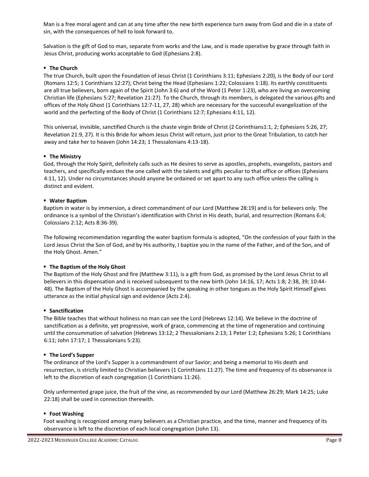Man is a free moral agent and can at any time after the new birth experience turn away from God and die in a state of sin, with the consequences of hell to look forward to.

Salvation is the gift of God to man, separate from works and the Law, and is made operative by grace through faith in Jesus Christ, producing works acceptable to God (Ephesians 2:8).

#### ▪ **The Church**

The true Church, built upon the Foundation of Jesus Christ (1 Corinthians 3:11; Ephesians 2:20), is the Body of our Lord (Romans 12:5; 1 Corinthians 12:27); Christ being the Head (Ephesians 1:22; Colossians 1:18). Its earthly constituents are all true believers, born again of the Spirit (John 3:6) and of the Word (1 Peter 1:23), who are living an overcoming Christian life (Ephesians 5:27; Revelation 21:27). To the Church, through its members, is delegated the various gifts and offices of the Holy Ghost (1 Corinthians 12:7-11, 27, 28) which are necessary for the successful evangelization of the world and the perfecting of the Body of Christ (1 Corinthians 12:7; Ephesians 4:11, 12).

This universal, invisible, sanctified Church is the chaste virgin Bride of Christ (2 Corinthians1:1, 2; Ephesians 5:26, 27; Revelation 21:9, 27). It is this Bride for whom Jesus Christ will return, just prior to the Great Tribulation, to catch her away and take her to heaven (John 14:23; 1 Thessalonians 4:13-18).

#### ▪ **The Ministry**

God, through the Holy Spirit, definitely calls such as He desires to serve as apostles, prophets, evangelists, pastors and teachers, and specifically endues the one called with the talents and gifts peculiar to that office or offices (Ephesians 4:11, 12). Under no circumstances should anyone be ordained or set apart to any such office unless the calling is distinct and evident.

#### ▪ **Water Baptism**

Baptism in water is by immersion, a direct commandment of our Lord (Matthew 28:19) and is for believers only. The ordinance is a symbol of the Christian's identification with Christ in His death, burial, and resurrection (Romans 6:4; Colossians 2:12; Acts 8:36-39).

The following recommendation regarding the water baptism formula is adopted, "On the confession of your faith in the Lord Jesus Christ the Son of God, and by His authority, I baptize you in the name of the Father, and of the Son, and of the Holy Ghost. Amen."

#### ▪ **The Baptism of the Holy Ghost**

The Baptism of the Holy Ghost and fire (Matthew 3:11), is a gift from God, as promised by the Lord Jesus Christ to all believers in this dispensation and is received subsequent to the new birth (John 14:16, 17; Acts 1:8; 2:38, 39; 10:44- 48). The Baptism of the Holy Ghost is accompanied by the speaking in other tongues as the Holy Spirit Himself gives utterance as the initial physical sign and evidence (Acts 2:4).

#### ▪ **Sanctification**

The Bible teaches that without holiness no man can see the Lord (Hebrews 12:14). We believe in the doctrine of sanctification as a definite, yet progressive, work of grace, commencing at the time of regeneration and continuing until the consummation of salvation (Hebrews 13:12; 2 Thessalonians 2:13; 1 Peter 1:2; Ephesians 5:26; 1 Corinthians 6:11; John 17:17; 1 Thessalonians 5:23).

#### ▪ **The Lord's Supper**

The ordinance of the Lord's Supper is a commandment of our Savior; and being a memorial to His death and resurrection, is strictly limited to Christian believers (1 Corinthians 11:27). The time and frequency of its observance is left to the discretion of each congregation (1 Corinthians 11:26).

Only unfermented grape juice, the fruit of the vine, as recommended by our Lord (Matthew 26:29; Mark 14:25; Luke 22:18) shall be used in connection therewith.

#### ▪ **Foot Washing**

Foot washing is recognized among many believers as a Christian practice, and the time, manner and frequency of its observance is left to the discretion of each local congregation (John 13).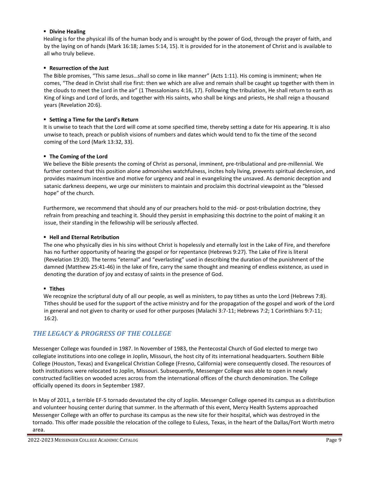#### ▪ **Divine Healing**

Healing is for the physical ills of the human body and is wrought by the power of God, through the prayer of faith, and by the laying on of hands (Mark 16:18; James 5:14, 15). It is provided for in the atonement of Christ and is available to all who truly believe.

#### ▪ **Resurrection of the Just**

The Bible promises, "This same Jesus…shall so come in like manner" (Acts 1:11). His coming is imminent; when He comes, "The dead in Christ shall rise first: then we which are alive and remain shall be caught up together with them in the clouds to meet the Lord in the air" (1 Thessalonians 4:16, 17). Following the tribulation, He shall return to earth as King of kings and Lord of lords, and together with His saints, who shall be kings and priests, He shall reign a thousand years (Revelation 20:6).

#### ▪ **Setting a Time for the Lord's Return**

It is unwise to teach that the Lord will come at some specified time, thereby setting a date for His appearing. It is also unwise to teach, preach or publish visions of numbers and dates which would tend to fix the time of the second coming of the Lord (Mark 13:32, 33).

#### ▪ **The Coming of the Lord**

We believe the Bible presents the coming of Christ as personal, imminent, pre-tribulational and pre-millennial. We further contend that this position alone admonishes watchfulness, incites holy living, prevents spiritual declension, and provides maximum incentive and motive for urgency and zeal in evangelizing the unsaved. As demonic deception and satanic darkness deepens, we urge our ministers to maintain and proclaim this doctrinal viewpoint as the "blessed hope" of the church.

Furthermore, we recommend that should any of our preachers hold to the mid- or post-tribulation doctrine, they refrain from preaching and teaching it. Should they persist in emphasizing this doctrine to the point of making it an issue, their standing in the fellowship will be seriously affected.

#### ▪ **Hell and Eternal Retribution**

The one who physically dies in his sins without Christ is hopelessly and eternally lost in the Lake of Fire, and therefore has no further opportunity of hearing the gospel or for repentance (Hebrews 9:27). The Lake of Fire is literal (Revelation 19:20). The terms "eternal" and "everlasting" used in describing the duration of the punishment of the damned (Matthew 25:41-46) in the lake of fire, carry the same thought and meaning of endless existence, as used in denoting the duration of joy and ecstasy of saints in the presence of God.

#### ▪ **Tithes**

We recognize the scriptural duty of all our people, as well as ministers, to pay tithes as unto the Lord (Hebrews 7:8). Tithes should be used for the support of the active ministry and for the propagation of the gospel and work of the Lord in general and not given to charity or used for other purposes (Malachi 3:7-11; Hebrews 7:2; 1 Corinthians 9:7-11; 16:2).

#### *THE LEGACY & PROGRESS OF THE COLLEGE*

Messenger College was founded in 1987. In November of 1983, the Pentecostal Church of God elected to merge two collegiate institutions into one college in Joplin, Missouri, the host city of its international headquarters. Southern Bible College (Houston, Texas) and Evangelical Christian College (Fresno, California) were consequently closed. The resources of both institutions were relocated to Joplin, Missouri. Subsequently, Messenger College was able to open in newly constructed facilities on wooded acres across from the international offices of the church denomination. The College officially opened its doors in September 1987.

In May of 2011, a terrible EF-5 tornado devastated the city of Joplin. Messenger College opened its campus as a distribution and volunteer housing center during that summer. In the aftermath of this event, Mercy Health Systems approached Messenger College with an offer to purchase its campus as the new site for their hospital, which was destroyed in the tornado. This offer made possible the relocation of the college to Euless, Texas, in the heart of the Dallas/Fort Worth metro area.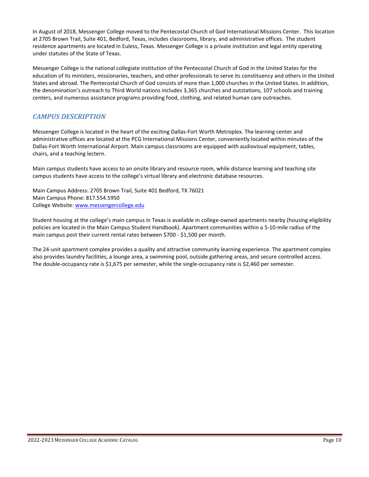In August of 2018, Messenger College moved to the Pentecostal Church of God International Missions Center. This location at 2705 Brown Trail, Suite 401, Bedford, Texas, includes classrooms, library, and administrative offices. The student residence apartments are located in Euless, Texas. Messenger College is a private institution and legal entity operating under statutes of the State of Texas.

Messenger College is the national collegiate institution of the Pentecostal Church of God in the United States for the education of its ministers, missionaries, teachers, and other professionals to serve its constituency and others in the United States and abroad. The Pentecostal Church of God consists of more than 1,000 churches in the United States. In addition, the denomination's outreach to Third World nations includes 3,365 churches and outstations, 107 schools and training centers, and numerous assistance programs providing food, clothing, and related human care outreaches.

## *CAMPUS DESCRIPTION*

Messenger College is located in the heart of the exciting Dallas-Fort Worth Metroplex. The learning center and administrative offices are located at the PCG International Missions Center, conveniently located within minutes of the Dallas-Fort Worth International Airport. Main campus classrooms are equipped with audiovisual equipment, tables, chairs, and a teaching lectern.

Main campus students have access to an onsite library and resource room, while distance learning and teaching site campus students have access to the college's virtual library and electronic database resources.

Main Campus Address: 2705 Brown Trail, Suite 401 Bedford, TX 76021 Main Campus Phone: 817.554.5950 College Website: [www.messengercollege.edu](http://www.messengercollege.edu/)

Student housing at the college's main campus in Texas is available in college-owned apartments nearby (housing eligibility policies are located in the Main Campus Student Handbook). Apartment communities within a 5-10-mile radius of the main campus post their current rental rates between \$700 - \$1,500 per month.

The 24-unit apartment complex provides a quality and attractive community learning experience. The apartment complex also provides laundry facilities, a lounge area, a swimming pool, outside gathering areas, and secure controlled access. The double-occupancy rate is \$1,675 per semester, while the single-occupancy rate is \$2,460 per semester.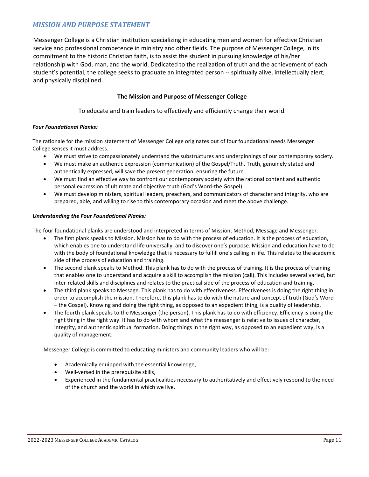## *MISSION AND PURPOSE STATEMENT*

Messenger College is a Christian institution specializing in educating men and women for effective Christian service and professional competence in ministry and other fields. The purpose of Messenger College, in its commitment to the historic Christian faith, is to assist the student in pursuing knowledge of his/her relationship with God, man, and the world. Dedicated to the realization of truth and the achievement of each student's potential, the college seeks to graduate an integrated person -- spiritually alive, intellectually alert, and physically disciplined.

#### **The Mission and Purpose of Messenger College**

To educate and train leaders to effectively and efficiently change their world.

#### *Four Foundational Planks:*

The rationale for the mission statement of Messenger College originates out of four foundational needs Messenger College senses it must address.

- We must strive to compassionately understand the substructures and underpinnings of our contemporary society.
- We must make an authentic expression (communication) of the Gospel/Truth. Truth, genuinely stated and authentically expressed, will save the present generation, ensuring the future.
- We must find an effective way to confront our contemporary society with the rational content and authentic personal expression of ultimate and objective truth (God's Word-the Gospel).
- We must develop ministers, spiritual leaders, preachers, and communicators of character and integrity, who are prepared, able, and willing to rise to this contemporary occasion and meet the above challenge.

#### *Understanding the Four Foundational Planks:*

The four foundational planks are understood and interpreted in terms of Mission, Method, Message and Messenger.

- The first plank speaks to Mission. Mission has to do with the process of education. It is the process of education, which enables one to understand life universally, and to discover one's purpose. Mission and education have to do with the body of foundational knowledge that is necessary to fulfill one's calling in life. This relates to the academic side of the process of education and training.
- The second plank speaks to Method. This plank has to do with the process of training. It is the process of training that enables one to understand and acquire a skill to accomplish the mission (call). This includes several varied, but inter-related skills and disciplines and relates to the practical side of the process of education and training.
- The third plank speaks to Message. This plank has to do with effectiveness. Effectiveness is doing the right thing in order to accomplish the mission. Therefore, this plank has to do with the nature and concept of truth (God's Word – the Gospel). Knowing and doing the right thing, as opposed to an expedient thing, is a quality of leadership.
- The fourth plank speaks to the Messenger (the person). This plank has to do with efficiency. Efficiency is doing the right thing in the right way. It has to do with whom and what the messenger is relative to issues of character, integrity, and authentic spiritual formation. Doing things in the right way, as opposed to an expedient way, is a quality of management.

Messenger College is committed to educating ministers and community leaders who will be:

- Academically equipped with the essential knowledge,
- Well-versed in the prerequisite skills,
- Experienced in the fundamental practicalities necessary to authoritatively and effectively respond to the need of the church and the world in which we live.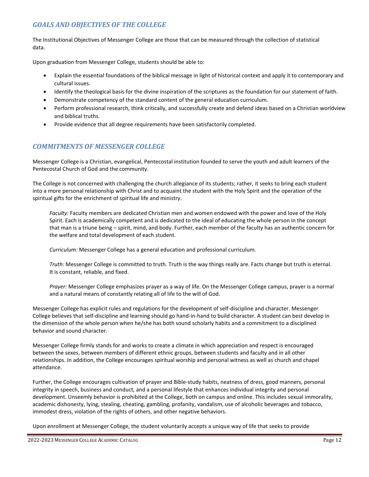## *GOALS AND OBJECTIVES OF THE COLLEGE*

The Institutional Objectives of Messenger College are those that can be measured through the collection of statistical data.

Upon graduation from Messenger College, students should be able to:

- Explain the essential foundations of the biblical message in light of historical context and apply it to contemporary and cultural issues.
- Identify the theological basis for the divine inspiration of the scriptures as the foundation for our statement of faith.
- Demonstrate competency of the standard content of the general education curriculum.
- Perform professional research, think critically, and successfully create and defend ideas based on a Christian worldview and biblical truths.
- Provide evidence that all degree requirements have been satisfactorily completed.

#### *COMMITMENTS OF MESSENGER COLLEGE*

Messenger College is a Christian, evangelical, Pentecostal institution founded to serve the youth and adult learners of the Pentecostal Church of God and the community.

The College is not concerned with challenging the church allegiance of its students; rather, it seeks to bring each student into a more personal relationship with Christ and to acquaint the student with the Holy Spirit and the operation of the spiritual gifts for the enrichment of spiritual life and ministry.

*Faculty:* Faculty members are dedicated Christian men and women endowed with the power and love of the Holy Spirit. Each is academically competent and is dedicated to the ideal of educating the whole person in the concept that man is a triune being – spirit, mind, and body. Further, each member of the faculty has an authentic concern for the welfare and total development of each student.

*Curriculum:* Messenger College has a general education and professional curriculum.

*Truth:* Messenger College is committed to truth. Truth is the way things really are. Facts change but truth is eternal. It is constant, reliable, and fixed.

*Prayer:* Messenger College emphasizes prayer as a way of life. On the Messenger College campus, prayer is a normal and a natural means of constantly relating all of life to the will of God.

Messenger College has explicit rules and regulations for the development of self-discipline and character. Messenger College believes that self-discipline and learning should go hand-in-hand to build character. A student can best develop in the dimension of the whole person when he/she has both sound scholarly habits and a commitment to a disciplined behavior and sound character.

Messenger College firmly stands for and works to create a climate in which appreciation and respect is encouraged between the sexes, between members of different ethnic groups, between students and faculty and in all other relationships. In addition, the College encourages spiritual worship and personal witness as well as church and chapel attendance.

Further, the College encourages cultivation of prayer and Bible-study habits, neatness of dress, good manners, personal integrity in speech, business and conduct, and a personal lifestyle that enhances individual integrity and personal development. Unseemly behavior is prohibited at the College, both on campus and online. This includes sexual immorality, academic dishonesty, lying, stealing, cheating, gambling, profanity, vandalism, use of alcoholic beverages and tobacco, immodest dress, violation of the rights of others, and other negative behaviors.

Upon enrollment at Messenger College, the student voluntarily accepts a unique way of life that seeks to provide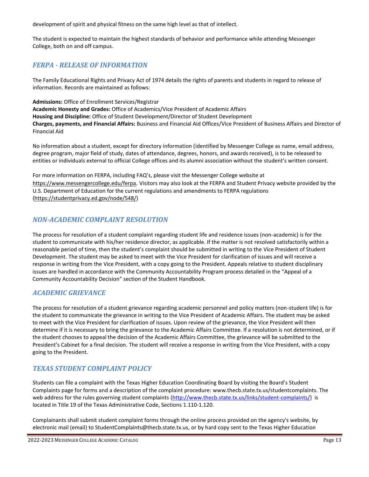development of spirit and physical fitness on the same high level as that of intellect.

The student is expected to maintain the highest standards of behavior and performance while attending Messenger College, both on and off campus.

## *FERPA - RELEASE OF INFORMATION*

The Family Educational Rights and Privacy Act of 1974 details the rights of parents and students in regard to release of information. Records are maintained as follows:

**Admissions:** Office of Enrollment Services/Registrar **Academic Honesty and Grades:** Office of Academics/Vice President of Academic Affairs **Housing and Discipline:** Office of Student Development/Director of Student Development **Charges, payments, and Financial Affairs:** Business and Financial Aid Offices/Vice President of Business Affairs and Director of Financial Aid

No information about a student, except for directory information (identified by Messenger College as name, email address, degree program, major field of study, dates of attendance, degrees, honors, and awards received), is to be released to entities or individuals external to official College offices and its alumni association without the student's written consent.

For more information on FERPA, including FAQ's, please visit the Messenger College website at <https://www.messengercollege.edu/ferpa>. Visitors may also look at the FERPA and Student Privacy website provided by the U.S. Department of Education for the current regulations and amendments to FERPA regulations [\(https://studentprivacy.ed.gov/node/548/\)](https://studentprivacy.ed.gov/node/548/)

### *NON-ACADEMIC COMPLAINT RESOLUTION*

The process for resolution of a student complaint regarding student life and residence issues (non-academic) is for the student to communicate with his/her residence director, as applicable. If the matter is not resolved satisfactorily within a reasonable period of time, then the student's complaint should be submitted in writing to the Vice President of Student Development. The student may be asked to meet with the Vice President for clarification of issues and will receive a response in writing from the Vice President, with a copy going to the President. Appeals relative to student disciplinary issues are handled in accordance with the Community Accountability Program process detailed in the "Appeal of a Community Accountability Decision" section of the Student Handbook.

## *ACADEMIC GRIEVANCE*

The process for resolution of a student grievance regarding academic personnel and policy matters (non-student life) is for the student to communicate the grievance in writing to the Vice President of Academic Affairs. The student may be asked to meet with the Vice President for clarification of issues. Upon review of the grievance, the Vice President will then determine if it is necessary to bring the grievance to the Academic Affairs Committee. If a resolution is not determined, or if the student chooses to appeal the decision of the Academic Affairs Committee, the grievance will be submitted to the President's Cabinet for a final decision. The student will receive a response in writing from the Vice President, with a copy going to the President.

### *TEXAS STUDENT COMPLAINT POLICY*

Students can file a complaint with the Texas Higher Education Coordinating Board by visiting the Board's Student Complaints page for forms and a description of the complaint procedure: [www.thecb.state.tx.us/studentcomplaints.](http://www.thecb.state.tx.us/studentcomplaints) The web address for the rules governing student complaints [\(http://www.thecb.state.tx.us/links/student-complaints/\)](http://www.thecb.state.tx.us/links/student-complaints/) is located in Title 19 of the Texas Administrative Code, Sections 1.110-1.120.

Complainants shall submit student complaint forms through the online process provided on the agency's website, by electronic mail (email) to [StudentComplaints@thecb.state.tx.us,](mailto:StudentComplaints@thecb.state.tx.us) or by hard copy sent to the Texas Higher Education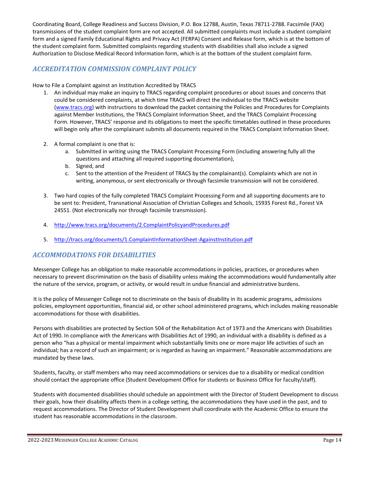Coordinating Board, College Readiness and Success Division, P.O. Box 12788, Austin, Texas 78711-2788. Facsimile (FAX) transmissions of the student complaint form are not accepted. All submitted complaints must include a student complaint form and a signed Family Educational Rights and Privacy Act (FERPA) Consent and Release form, which is at the bottom of the student complaint form. Submitted complaints regarding students with disabilities shall also include a signed Authorization to Disclose Medical Record Information form, which is at the bottom of the student complaint form.

## *ACCREDITATION COMMISSION COMPLAINT POLICY*

How to File a Complaint against an Institution Accredited by TRACS

- 1. An individual may make an inquiry to TRACS regarding complaint procedures or about issues and concerns that could be considered complaints, at which time TRACS will direct the individual to the TRACS website [\(www.tracs.org\)](http://www.tracs.org/) with instructions to download the packet containing the Policies and Procedures for Complaints against Member Institutions, the TRACS Complaint Information Sheet, and the TRACS Complaint Processing Form. However, TRACS' response and its obligations to meet the specific timetables outlined in these procedures will begin only after the complainant submits all documents required in the TRACS Complaint Information Sheet.
- 2. A formal complaint is one that is:
	- a. Submitted in writing using the TRACS Complaint Processing Form (including answering fully all the questions and attaching all required supporting documentation),
	- b. Signed, and
	- c. Sent to the attention of the President of TRACS by the complainant(s). Complaints which are not in writing, anonymous, or sent electronically or through facsimile transmission will not be considered.
- 3. Two hard copies of the fully completed TRACS Complaint Processing Form and all supporting documents are to be sent to: President, Transnational Association of Christian Colleges and Schools, 15935 Forest Rd., Forest VA 24551. (Not electronically nor through facsimile transmission).
- 4. <http://www.tracs.org/documents/2.ComplaintPolicyandProcedures.pdf>
- 5. <http://tracs.org/documents/1.ComplaintInformationSheet-AgainstInstitution.pdf>

### *ACCOMMODATIONS FOR DISABILITIES*

Messenger College has an obligation to make reasonable accommodations in policies, practices, or procedures when necessary to prevent discrimination on the basis of disability unless making the accommodations would fundamentally alter the nature of the service, program, or activity, or would result in undue financial and administrative burdens.

It is the policy of Messenger College not to discriminate on the basis of disability in its academic programs, admissions policies, employment opportunities, financial aid, or other school administered programs, which includes making reasonable accommodations for those with disabilities.

Persons with disabilities are protected by Section 504 of the Rehabilitation Act of 1973 and the Americans with Disabilities Act of 1990. In compliance with the Americans with Disabilities Act of 1990, an individual with a disability is defined as a person who "has a physical or mental impairment which substantially limits one or more major life activities of such an individual; has a record of such an impairment; or is regarded as having an impairment." Reasonable accommodations are mandated by these laws.

Students, faculty, or staff members who may need accommodations or services due to a disability or medical condition should contact the appropriate office (Student Development Office for students or Business Office for faculty/staff).

Students with documented disabilities should schedule an appointment with the Director of Student Development to discuss their goals, how their disability affects them in a college setting, the accommodations they have used in the past, and to request accommodations. The Director of Student Development shall coordinate with the Academic Office to ensure the student has reasonable accommodations in the classroom.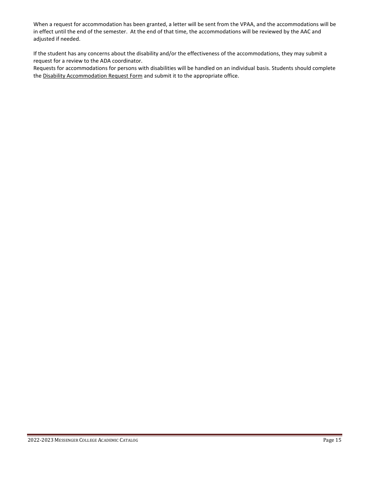When a request for accommodation has been granted, a letter will be sent from the VPAA, and the accommodations will be in effect until the end of the semester. At the end of that time, the accommodations will be reviewed by the AAC and adjusted if needed.

If the student has any concerns about the disability and/or the effectiveness of the accommodations, they may submit a request for a review to the ADA coordinator.

Requests for accommodations for persons with disabilities will be handled on an individual basis. Students should complete th[e Disability Accommodation Request Form](file:///C:/Users/CarolynDowd/AppData/Roaming/Website/Disability%20Accommodation%20Request%20Form.docx.pdf) and submit it to the appropriate office.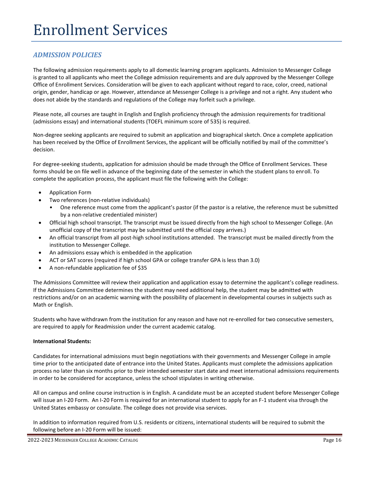## *ADMISSION POLICIES*

The following admission requirements apply to all domestic learning program applicants. Admission to Messenger College is granted to all applicants who meet the College admission requirements and are duly approved by the Messenger College Office of Enrollment Services. Consideration will be given to each applicant without regard to race, color, creed, national origin, gender, handicap or age. However, attendance at Messenger College is a privilege and not a right. Any student who does not abide by the standards and regulations of the College may forfeit such a privilege.

Please note, all courses are taught in English and English proficiency through the admission requirements for traditional (admissions essay) and international students (TOEFL minimum score of 535) is required.

Non-degree seeking applicants are required to submit an application and biographical sketch. Once a complete application has been received by the Office of Enrollment Services, the applicant will be officially notified by mail of the committee's decision.

For degree-seeking students, application for admission should be made through the Office of Enrollment Services. These forms should be on file well in advance of the beginning date of the semester in which the student plans to enroll. To complete the application process, the applicant must file the following with the College:

- Application Form
- Two references (non-relative individuals)
	- One reference must come from the applicant's pastor (if the pastor is a relative, the reference must be submitted by a non-relative credentialed minister)
- Official high school transcript. The transcript must be issued directly from the high school to Messenger College. (An unofficial copy of the transcript may be submitted until the official copy arrives.)
- An official transcript from all post-high school institutions attended. The transcript must be mailed directly from the institution to Messenger College.
- An admissions essay which is embedded in the application
- ACT or SAT scores (required if high school GPA or college transfer GPA is less than 3.0)
- A non-refundable application fee of \$35

The Admissions Committee will review their application and application essay to determine the applicant's college readiness. If the Admissions Committee determines the student may need additional help, the student may be admitted with restrictions and/or on an academic warning with the possibility of placement in developmental courses in subjects such as Math or English.

Students who have withdrawn from the institution for any reason and have not re-enrolled for two consecutive semesters, are required to apply for Readmission under the current academic catalog.

#### **International Students:**

Candidates for international admissions must begin negotiations with their governments and Messenger College in ample time prior to the anticipated date of entrance into the United States. Applicants must complete the admissions application process no later than six months prior to their intended semester start date and meet international admissions requirements in order to be considered for acceptance, unless the school stipulates in writing otherwise.

All on campus and online course instruction is in English. A candidate must be an accepted student before Messenger College will issue an I-20 Form. An I-20 Form is required for an international student to apply for an F-1 student visa through the United States embassy or consulate. The college does not provide visa services.

In addition to information required from U.S. residents or citizens, international students will be required to submit the following before an I-20 Form will be issued: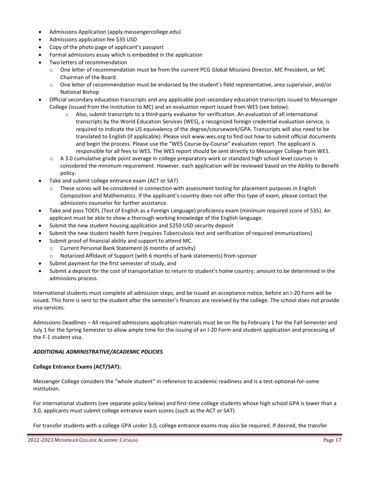- Admissions Application [\(apply.messengercollege.edu\)](http://www.messengercollege.edu/#!apply/c1ma6)
- Admissions application fee \$35 USD
- Copy of the photo page of applicant's passport
- Formal admissions essay which is embedded in the application
- Two letters of recommendation
	- o One letter of recommendation must be from the current PCG Global Missions Director, MC President, or MC Chairman of the Board.
	- o One letter of recommendation must be endorsed by the student's field representative, area supervisor, and/or National Bishop
- Official secondary education transcripts and any applicable post-secondary education transcripts issued to Messenger College (issued from the institution to MC) and an evaluation report issued from WES (see below).
	- $\circ$  Also, submit transcripts to a third-party evaluator for verification. An evaluation of all international transcripts by the World Education Services (WES), a recognized foreign credential evaluation service, is required to indicate the US equivalency of the degree/coursework/GPA. Transcripts will also need to be translated to English (if applicable). Please visit www.wes.org to find out how to submit official documents and begin the process. Please use the "WES Course-by-Course" evaluation report. The applicant is responsible for all fees to WES. The WES report should be sent directly to Messenger College from WES.
	- o A 3.0 cumulative grade point average in college preparatory work or standard high school level courses is considered the minimum requirement. However, each application will be reviewed based on the Ability to Benefit policy.
- Take and submit college entrance exam (ACT or SAT)
	- o These scores will be considered in connection with assessment testing for placement purposes in English Composition and Mathematics. If the applicant's country does not offer this type of exam, please contact the admissions counselor for further assistance.
- Take and pass TOEFL (Test of English as a Foreign Language) proficiency exam (minimum required score of 535). An applicant must be able to show a thorough working knowledge of the English language.
- Submit the new student housing application and \$250 USD security deposit
- Submit the new student health form (requires Tuberculosis test and verification of required immunizations)
- Submit proof of financial ability and support to attend MC.
	- o Current Personal Bank Statement (6 months of activity)
	- o Notarized Affidavit of Support (with 6 months of bank statements) from sponsor
- Submit payment for the first semester of study, and
- Submit a deposit for the cost of transportation to return to student's home country; amount to be determined in the admissions process.

International students must complete all admission steps, and be issued an acceptance notice, before an I-20 Form will be issued. This form is sent to the student after the semester's finances are received by the college. The school does not provide visa services.

Admissions Deadlines – All required admissions application materials must be on file by February 1 for the Fall Semester and July 1 for the Spring Semester to allow ample time for the issuing of an I-20 Form and student application and processing of the F-1 student visa.

#### *ADDITIONAL ADMINISTRATIVE/ACADEMIC POLICIES*

#### **College Entrance Exams (ACT/SAT):**

Messenger College considers the "whole student" in reference to academic readiness and is a test-optional-for-some institution.

For international students (see separate policy below) and first-time college students whose high school GPA is lower than a 3.0, applicants must submit college entrance exam scores (such as the ACT or SAT).

For transfer students with a college GPA under 3.0, college entrance exams may also be required. If desired, the transfer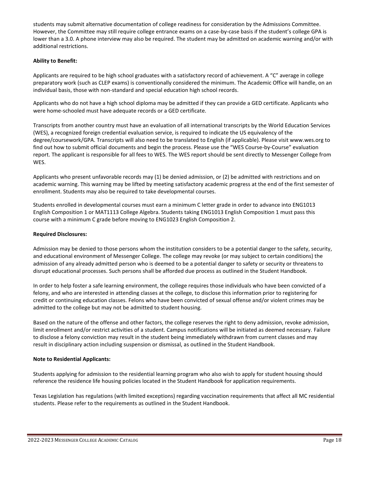students may submit alternative documentation of college readiness for consideration by the Admissions Committee. However, the Committee may still require college entrance exams on a case-by-case basis if the student's college GPA is lower than a 3.0. A phone interview may also be required. The student may be admitted on academic warning and/or with additional restrictions.

#### **Ability to Benefit:**

Applicants are required to be high school graduates with a satisfactory record of achievement. A "C" average in college preparatory work (such as CLEP exams) is conventionally considered the minimum. The Academic Office will handle, on an individual basis, those with non-standard and special education high school records.

Applicants who do not have a high school diploma may be admitted if they can provide a GED certificate. Applicants who were home-schooled must have adequate records or a GED certificate.

Transcripts from another country must have an evaluation of all international transcripts by the World Education Services (WES), a recognized foreign credential evaluation service, is required to indicate the US equivalency of the degree/coursework/GPA. Transcripts will also need to be translated to English (if applicable). Please visit www.wes.org to find out how to submit official documents and begin the process. Please use the "WES Course-by-Course" evaluation report. The applicant is responsible for all fees to WES. The WES report should be sent directly to Messenger College from WES.

Applicants who present unfavorable records may (1) be denied admission, or (2) be admitted with restrictions and on academic warning. This warning may be lifted by meeting satisfactory academic progress at the end of the first semester of enrollment. Students may also be required to take developmental courses.

Students enrolled in developmental courses must earn a minimum C letter grade in order to advance into ENG1013 English Composition 1 or MAT1113 College Algebra. Students taking ENG1013 English Composition 1 must pass this course with a minimum C grade before moving to ENG1023 English Composition 2.

#### **Required Disclosures:**

Admission may be denied to those persons whom the institution considers to be a potential danger to the safety, security, and educational environment of Messenger College. The college may revoke (or may subject to certain conditions) the admission of any already admitted person who is deemed to be a potential danger to safety or security or threatens to disrupt educational processes. Such persons shall be afforded due process as outlined in the Student Handbook.

In order to help foster a safe learning environment, the college requires those individuals who have been convicted of a felony, and who are interested in attending classes at the college, to disclose this information prior to registering for credit or continuing education classes. Felons who have been convicted of sexual offense and/or violent crimes may be admitted to the college but may not be admitted to student housing.

Based on the nature of the offense and other factors, the college reserves the right to deny admission, revoke admission, limit enrollment and/or restrict activities of a student. Campus notifications will be initiated as deemed necessary. Failure to disclose a felony conviction may result in the student being immediately withdrawn from current classes and may result in disciplinary action including suspension or dismissal, as outlined in the Student Handbook.

#### **Note to Residential Applicants:**

Students applying for admission to the residential learning program who also wish to apply for student housing should reference the residence life housing policies located in the Student Handbook for application requirements.

Texas Legislation has regulations (with limited exceptions) regarding vaccination requirements that affect all MC residential students. Please refer to the requirements as outlined in the Student Handbook.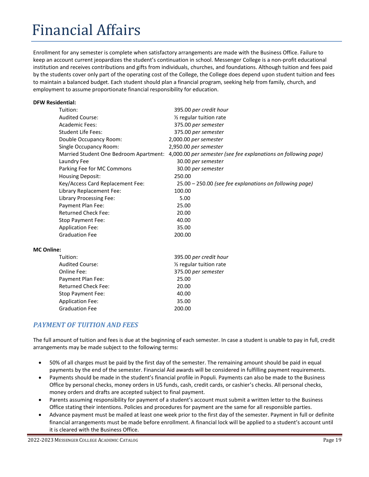# Financial Affairs

Enrollment for any semester is complete when satisfactory arrangements are made with the Business Office. Failure to keep an account current jeopardizes the student's continuation in school. Messenger College is a non-profit educational institution and receives contributions and gifts from individuals, churches, and foundations. Although tuition and fees paid by the students cover only part of the operating cost of the College, the College does depend upon student tuition and fees to maintain a balanced budget. Each student should plan a financial program, seeking help from family, church, and employment to assume proportionate financial responsibility for education.

#### **DFW Residential:**

|                   | Tuition:                               | 395.00 per credit hour                                         |
|-------------------|----------------------------------------|----------------------------------------------------------------|
|                   | <b>Audited Course:</b>                 | $\frac{1}{2}$ regular tuition rate                             |
|                   | <b>Academic Fees:</b>                  | 375.00 per semester                                            |
|                   | <b>Student Life Fees:</b>              | 375.00 per semester                                            |
|                   | Double Occupancy Room:                 | 2,000.00 per semester                                          |
|                   | Single Occupancy Room:                 | 2,950.00 per semester                                          |
|                   | Married Student One Bedroom Apartment: | 4,000.00 per semester (see fee explanations on following page) |
|                   | Laundry Fee                            | 30.00 per semester                                             |
|                   | Parking Fee for MC Commons             | 30.00 per semester                                             |
|                   | <b>Housing Deposit:</b>                | 250.00                                                         |
|                   | Key/Access Card Replacement Fee:       | 25.00 – 250.00 (see fee explanations on following page)        |
|                   | Library Replacement Fee:               | 100.00                                                         |
|                   | Library Processing Fee:                | 5.00                                                           |
|                   | Payment Plan Fee:                      | 25.00                                                          |
|                   | <b>Returned Check Fee:</b>             | 20.00                                                          |
|                   | Stop Payment Fee:                      | 40.00                                                          |
|                   | <b>Application Fee:</b>                | 35.00                                                          |
|                   | <b>Graduation Fee</b>                  | 200.00                                                         |
|                   |                                        |                                                                |
| <b>MC Online:</b> |                                        |                                                                |

| Tuition:                   | 395.00 per credit hour               |
|----------------------------|--------------------------------------|
| <b>Audited Course:</b>     | 1/ <sub>2</sub> regular tuition rate |
| Online Fee:                | 375.00 per semester                  |
| Payment Plan Fee:          | 25.00                                |
| <b>Returned Check Fee:</b> | 20.00                                |
| Stop Payment Fee:          | 40.00                                |
| <b>Application Fee:</b>    | 35.00                                |
| <b>Graduation Fee</b>      | 200.00                               |
|                            |                                      |

## *PAYMENT OF TUITION AND FEES*

The full amount of tuition and fees is due at the beginning of each semester. In case a student is unable to pay in full, credit arrangements may be made subject to the following terms:

- 50% of all charges must be paid by the first day of the semester. The remaining amount should be paid in equal payments by the end of the semester. Financial Aid awards will be considered in fulfilling payment requirements.
- Payments should be made in the student's financial profile in Populi. Payments can also be made to the Business Office by personal checks, money orders in US funds, cash, credit cards, or cashier's checks. All personal checks, money orders and drafts are accepted subject to final payment.
- Parents assuming responsibility for payment of a student's account must submit a written letter to the Business Office stating their intentions. Policies and procedures for payment are the same for all responsible parties.
- Advance payment must be mailed at least one week prior to the first day of the semester. Payment in full or definite financial arrangements must be made before enrollment. A financial lock will be applied to a student's account until it is cleared with the Business Office.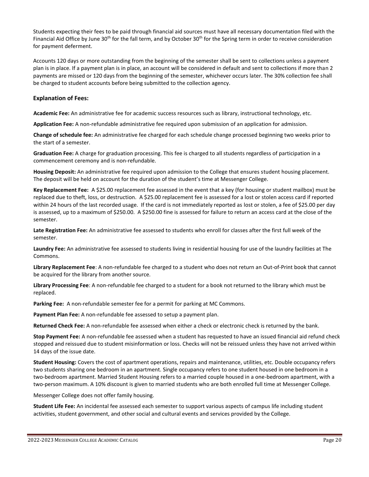Students expecting their fees to be paid through financial aid sources must have all necessary documentation filed with the Financial Aid Office by June 30<sup>th</sup> for the fall term, and by October 30<sup>th</sup> for the Spring term in order to receive consideration for payment deferment.

Accounts 120 days or more outstanding from the beginning of the semester shall be sent to collections unless a payment plan is in place. If a payment plan is in place, an account will be considered in default and sent to collections if more than 2 payments are missed or 120 days from the beginning of the semester, whichever occurs later. The 30% collection fee shall be charged to student accounts before being submitted to the collection agency.

#### **Explanation of Fees:**

**Academic Fee:** An administrative fee for academic success resources such as library, instructional technology, etc.

**Application Fee:** A non-refundable administrative fee required upon submission of an application for admission.

**Change of schedule fee:** An administrative fee charged for each schedule change processed beginning two weeks prior to the start of a semester.

**Graduation Fee:** A charge for graduation processing. This fee is charged to all students regardless of participation in a commencement ceremony and is non-refundable.

**Housing Deposit:** An administrative fee required upon admission to the College that ensures student housing placement. The deposit will be held on account for the duration of the student's time at Messenger College.

**Key Replacement Fee:** A \$25.00 replacement fee assessed in the event that a key (for housing or student mailbox) must be replaced due to theft, loss, or destruction. A \$25.00 replacement fee is assessed for a lost or stolen access card if reported within 24 hours of the last recorded usage. If the card is not immediately reported as lost or stolen, a fee of \$25.00 per day is assessed, up to a maximum of \$250.00. A \$250.00 fine is assessed for failure to return an access card at the close of the semester.

**Late Registration Fee:** An administrative fee assessed to students who enroll for classes after the first full week of the semester.

**Laundry Fee:** An administrative fee assessed to students living in residential housing for use of the laundry facilities at The Commons.

**Library Replacement Fee**: A non-refundable fee charged to a student who does not return an Out-of-Print book that cannot be acquired for the library from another source.

**Library Processing Fee**: A non-refundable fee charged to a student for a book not returned to the library which must be replaced.

**Parking Fee:** A non-refundable semester fee for a permit for parking at MC Commons.

**Payment Plan Fee:** A non-refundable fee assessed to setup a payment plan.

**Returned Check Fee:** A non-refundable fee assessed when either a check or electronic check is returned by the bank.

**Stop Payment Fee:** A non-refundable fee assessed when a student has requested to have an issued financial aid refund check stopped and reissued due to student misinformation or loss. Checks will not be reissued unless they have not arrived within 14 days of the issue date.

**Student Housing:** Covers the cost of apartment operations, repairs and maintenance, utilities, etc. Double occupancy refers two students sharing one bedroom in an apartment. Single occupancy refers to one student housed in one bedroom in a two-bedroom apartment. Married Student Housing refers to a married couple housed in a one-bedroom apartment, with a two-person maximum. A 10% discount is given to married students who are both enrolled full time at Messenger College.

Messenger College does not offer family housing.

**Student Life Fee:** An incidental fee assessed each semester to support various aspects of campus life including student activities, student government, and other social and cultural events and services provided by the College.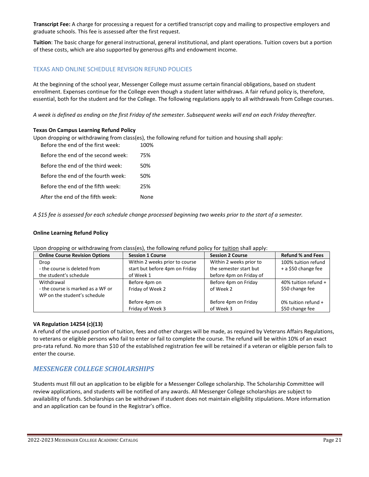**Transcript Fee:** A charge for processing a request for a certified transcript copy and mailing to prospective employers and graduate schools. This fee is assessed after the first request.

**Tuition**: The basic charge for general instructional, general institutional, and plant operations. Tuition covers but a portion of these costs, which are also supported by generous gifts and endowment income.

#### TEXAS AND ONLINE SCHEDULE REVISION REFUND POLICIES

At the beginning of the school year, Messenger College must assume certain financial obligations, based on student enrollment. Expenses continue for the College even though a student later withdraws. A fair refund policy is, therefore, essential, both for the student and for the College. The following regulations apply to all withdrawals from College courses.

*A week is defined as ending on the first Friday of the semester. Subsequent weeks will end on each Friday thereafter.*

#### **Texas On Campus Learning Refund Policy**

Upon dropping or withdrawing from class(es), the following refund for tuition and housing shall apply: Before the end of the first week: 100%

| Before the end of the second week: | 75%  |
|------------------------------------|------|
| Before the end of the third week:  | 50%  |
| Before the end of the fourth week: | 50%  |
| Before the end of the fifth week:  | 25%  |
| After the end of the fifth week:   | None |

*A \$15 fee is assessed for each schedule change processed beginning two weeks prior to the start of a semester.*

#### **Online Learning Refund Policy**

Upon dropping or withdrawing from class(es), the following refund policy for tuition shall apply:

| <b>Online Course Revision Options</b> | <b>Session 1 Course</b>        | <b>Session 2 Course</b> | <b>Refund % and Fees</b> |
|---------------------------------------|--------------------------------|-------------------------|--------------------------|
| Drop                                  | Within 2 weeks prior to course | Within 2 weeks prior to | 100% tuition refund      |
| - the course is deleted from          | start but before 4pm on Friday | the semester start but  | + a \$50 change fee      |
| the student's schedule                | of Week 1                      | before 4pm on Friday of |                          |
| Withdrawal                            | Before 4pm on                  | Before 4pm on Friday    | 40% tuition refund +     |
| - the course is marked as a WF or     | Friday of Week 2               | of Week 2               | \$50 change fee          |
| WP on the student's schedule          |                                |                         |                          |
|                                       | Before 4pm on                  | Before 4pm on Friday    | 0% tuition refund +      |
|                                       | Friday of Week 3               | of Week 3               | \$50 change fee          |

#### **VA Regulation 14254 (c)(13)**

A refund of the unused portion of tuition, fees and other charges will be made, as required by Veterans Affairs Regulations, to veterans or eligible persons who fail to enter or fail to complete the course. The refund will be within 10% of an exact pro-rata refund. No more than \$10 of the established registration fee will be retained if a veteran or eligible person fails to enter the course.

#### *MESSENGER COLLEGE SCHOLARSHIPS*

Students must fill out an application to be eligible for a Messenger College scholarship. The Scholarship Committee will review applications, and students will be notified of any awards. All Messenger College scholarships are subject to availability of funds. Scholarships can be withdrawn if student does not maintain eligibility stipulations. More information and an application can be found in the Registrar's office.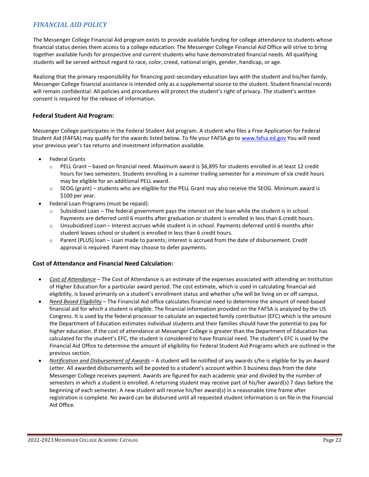## *FINANCIAL AID POLICY*

The Messenger College Financial Aid program exists to provide available funding for college attendance to students whose financial status denies them access to a college education. The Messenger College Financial Aid Office will strive to bring together available funds for prospective and current students who have demonstrated financial needs. All qualifying students will be served without regard to race, color, creed, national origin, gender, handicap, or age.

Realizing that the primary responsibility for financing post-secondary education lays with the student and his/her family, Messenger College financial assistance is intended only as a supplemental source to the student. Student financial records will remain confidential. All policies and procedures will protect the student's right of privacy. The student's written consent is required for the release of information.

#### **Federal Student Aid Program:**

Messenger College participates in the Federal Student Aid program. A student who files a Free Application for Federal Student Aid (FAFSA) may qualify for the awards listed below. To file your FAFSA go to [www.fafsa.ed.gov Y](http://www.fafsa.ed.gov/)ou will need your previous year's tax returns and investment information available.

- Federal Grants
	- $\circ$  PELL Grant based on financial need. Maximum award is \$6,895 for students enrolled in at least 12 credit hours for two semesters. Students enrolling in a summer trailing semester for a minimum of six credit hours may be eligible for an additional PELL award.
	- o SEOG (grant) students who are eligible for the PELL Grant may also receive the SEOG. Minimum award is \$100 per year.
- Federal Loan Programs (must be repaid):
	- Subsidized Loan The federal government pays the interest on the loan while the student is in school. Payments are deferred until 6 months after graduation or student is enrolled in less than 6 credit hours.
	- o Unsubsidized Loan Interest accrues while student is in school. Payments deferred until 6 months after student leaves school or student is enrolled in less than 6 credit hours.
	- o Parent (PLUS) loan Loan made to parents; interest is accrued from the date of disbursement. Credit approval is required. Parent may choose to defer payments.

#### **Cost of Attendance and Financial Need Calculation:**

- *Cost of Attendance* The Cost of Attendance is an estimate of the expenses associated with attending an Institution of Higher Education for a particular award period. The cost estimate, which is used in calculating financial aid eligibility, is based primarily on a student's enrollment status and whether s/he will be living on or off campus.
- *Need Based Eligibility* The Financial Aid office calculates financial need to determine the amount of need-based financial aid for which a student is eligible. The financial information provided on the FAFSA is analyzed by the US Congress. It is used by the federal processor to calculate an expected family contribution (EFC) which is the amount the Department of Education estimates individual students and their families should have the potential to pay for higher education. If the cost of attendance at Messenger College is greater than the Department of Education has calculated for the student's EFC, the student is considered to have financial need. The student's EFC is used by the Financial Aid Office to determine the amount of eligibility for Federal Student Aid Programs which are outlined in the previous section.
- *Notification and Disbursement of Awards* A student will be notified of any awards s/he is eligible for by an Award Letter. All awarded disbursements will be posted to a student's account within 3 business days from the date Messenger College receives payment. Awards are figured for each academic year and divided by the number of semesters in which a student is enrolled. A returning student may receive part of his/her award(s) 7 days before the beginning of each semester. A new student will receive his/her award(s) in a reasonable time frame after registration is complete. No award can be disbursed until all requested student information is on file in the Financial Aid Office.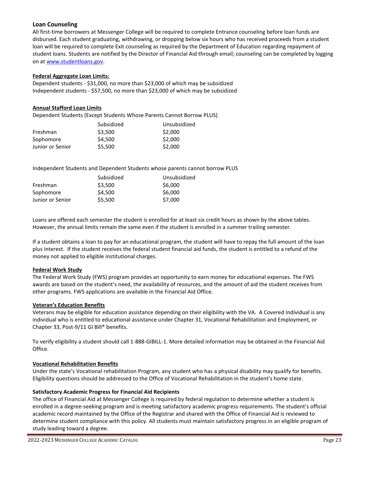#### **Loan Counseling**

All first-time borrowers at Messenger College will be required to complete Entrance counseling before loan funds are disbursed. Each student graduating, withdrawing, or dropping below six hours who has received proceeds from a student loan will be required to complete Exit counseling as required by the Department of Education regarding repayment of student loans. Students are notified by the Director of Financial Aid through email; counseling can be completed by logging on at [www.studentloans.gov.](http://www.studentloans.gov/)

#### **Federal Aggregate Loan Limits:**

Dependent students - \$31,000, no more than \$23,000 of which may be subsidized Independent students - \$57,500, no more than \$23,000 of which may be subsidized

#### **Annual Stafford Loan Limits**

Dependent Students (Except Students Whose Parents Cannot Borrow PLUS)

|                  | Subsidized | Unsubsidized |
|------------------|------------|--------------|
| Freshman         | \$3.500    | \$2,000      |
| Sophomore        | \$4.500    | \$2,000      |
| Junior or Senior | \$5.500    | \$2,000      |

Independent Students and Dependent Students whose parents cannot borrow PLUS

| Subsidized | Unsubsidized |
|------------|--------------|
| \$3.500    | \$6,000      |
| \$4.500    | \$6,000      |
| \$5.500    | \$7,000      |
|            |              |

Loans are offered each semester the student is enrolled for at least six credit hours as shown by the above tables. However, the annual limits remain the same even if the student is enrolled in a summer trailing semester.

If a student obtains a loan to pay for an educational program, the student will have to repay the full amount of the loan plus interest. If the student receives the federal student financial aid funds, the student is entitled to a refund of the money not applied to eligible institutional charges.

#### **Federal Work Study**

The Federal Work Study (FWS) program provides an opportunity to earn money for educational expenses. The FWS awards are based on the student's need, the availability of resources, and the amount of aid the student receives from other programs. FWS applications are available in the Financial Aid Office.

#### **Veteran's Education Benefits**

Veterans may be eligible for education assistance depending on their eligibility with the VA. A Covered Individual is any individual who is entitled to educational assistance under Chapter 31, Vocational Rehabilitation and Employment, or Chapter 33, Post-9/11 GI Bill® benefits.

To verify eligibility a student should call 1-888-GIBILL-1. More detailed information may be obtained in the Financial Aid Office.

#### **Vocational Rehabilitation Benefits**

Under the state's Vocational rehabilitation Program, any student who has a physical disability may qualify for benefits. Eligibility questions should be addressed to the Office of Vocational Rehabilitation in the student's home state.

#### **Satisfactory Academic Progress for Financial Aid Recipients**

The office of Financial Aid at Messenger College is required by federal regulation to determine whether a student is enrolled in a degree-seeking program and is meeting satisfactory academic progress requirements. The student's official academic record maintained by the Office of the Registrar and shared with the Office of Financial Aid is reviewed to determine student compliance with this policy. All students must maintain satisfactory progress in an eligible program of study leading toward a degree.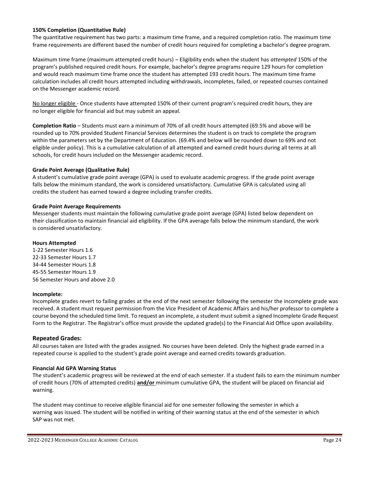#### **150% Completion (Quantitative Rule)**

The quantitative requirement has two parts: a maximum time frame, and a required completion ratio. The maximum time frame requirements are different based the number of credit hours required for completing a bachelor's degree program.

Maximum time frame (maximum attempted credit hours) – Eligibility ends when the student has *attempted* 150% of the program's published required credit hours. For example, bachelor's degree programs require 129 hours for completion and would reach maximum time frame once the student has attempted 193 credit hours. The maximum time frame calculation includes all credit hours attempted including withdrawals, incompletes, failed, or repeated courses contained on the Messenger academic record.

No longer eligible - Once students have attempted 150% of their current program's required credit hours, they are no longer eligible for financial aid but may submit an appeal.

**Completion Ratio** – Students must earn a minimum of 70% of all credit hours attempted (69.5% and above will be rounded up to 70% provided Student Financial Services determines the student is on track to complete the program within the parameters set by the Department of Education. (69.4% and below will be rounded down to 69% and not eligible under policy). This is a cumulative calculation of all attempted and earned credit hours during all terms at all schools, for credit hours included on the Messenger academic record.

#### **Grade Point Average (Qualitative Rule)**

A student's cumulative grade point average (GPA) is used to evaluate academic progress. If the grade point average falls below the minimum standard, the work is considered unsatisfactory. Cumulative GPA is calculated using all credits the student has earned toward a degree including transfer credits.

#### **Grade Point Average Requirements**

Messenger students must maintain the following cumulative grade point average (GPA) listed below dependent on their classification to maintain financial aid eligibility. If the GPA average falls below the minimum standard, the work is considered unsatisfactory.

#### **Hours Attempted**

1-22 Semester Hours 1.6 22-33 Semester Hours 1.7 34-44 Semester Hours 1.8 45-55 Semester Hours 1.9 56 Semester Hours and above 2.0

#### **Incomplete:**

Incomplete grades revert to failing grades at the end of the next semester following the semester the incomplete grade was received. A student must request permission from the Vice President of Academic Affairs and his/her professor to complete a course beyond the scheduled time limit. To request an incomplete, a student must submit a signed Incomplete Grade Request Form to the Registrar. The Registrar's office must provide the updated grade(s) to the Financial Aid Office upon availability.

#### **Repeated Grades:**

All courses taken are listed with the grades assigned. No courses have been deleted. Only the highest grade earned in a repeated course is applied to the student's grade point average and earned credits towards graduation.

#### **Financial Aid GPA Warning Status**

The student's academic progress will be reviewed at the end of each semester. If a student fails to earn the minimum number of credit hours (70% of attempted credits) **and/or** minimum cumulative GPA, the student will be placed on financial aid warning.

The student may continue to receive eligible financial aid for one semester following the semester in which a warning was issued. The student will be notified in writing of their warning status at the end of the semester in which SAP was not met.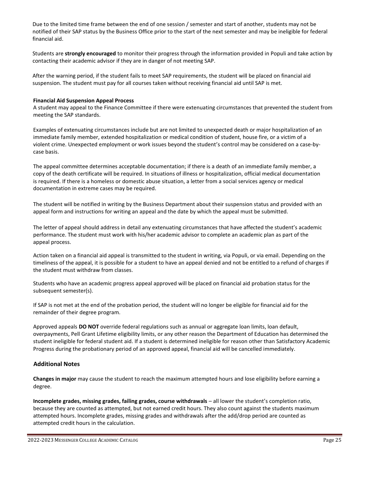Due to the limited time frame between the end of one session / semester and start of another, students may not be notified of their SAP status by the Business Office prior to the start of the next semester and may be ineligible for federal financial aid.

Students are **strongly encouraged** to monitor their progress through the information provided in Populi and take action by contacting their academic advisor if they are in danger of not meeting SAP.

After the warning period, if the student fails to meet SAP requirements, the student will be placed on financial aid suspension. The student must pay for all courses taken without receiving financial aid until SAP is met.

#### **Financial Aid Suspension Appeal Process**

A student may appeal to the Finance Committee if there were extenuating circumstances that prevented the student from meeting the SAP standards.

Examples of extenuating circumstances include but are not limited to unexpected death or major hospitalization of an immediate family member, extended hospitalization or medical condition of student, house fire, or a victim of a violent crime. Unexpected employment or work issues beyond the student's control may be considered on a case-bycase basis.

The appeal committee determines acceptable documentation; if there is a death of an immediate family member, a copy of the death certificate will be required. In situations of illness or hospitalization, official medical documentation is required. If there is a homeless or domestic abuse situation, a letter from a social services agency or medical documentation in extreme cases may be required.

The student will be notified in writing by the Business Department about their suspension status and provided with an appeal form and instructions for writing an appeal and the date by which the appeal must be submitted.

The letter of appeal should address in detail any extenuating circumstances that have affected the student's academic performance. The student must work with his/her academic advisor to complete an academic plan as part of the appeal process.

Action taken on a financial aid appeal is transmitted to the student in writing, via Populi, or via email. Depending on the timeliness of the appeal, it is possible for a student to have an appeal denied and not be entitled to a refund of charges if the student must withdraw from classes.

Students who have an academic progress appeal approved will be placed on financial aid probation status for the subsequent semester(s).

If SAP is not met at the end of the probation period, the student will no longer be eligible for financial aid for the remainder of their degree program.

Approved appeals **DO NOT** override federal regulations such as annual or aggregate loan limits, loan default, overpayments, Pell Grant Lifetime eligibility limits, or any other reason the Department of Education has determined the student ineligible for federal student aid. If a student is determined ineligible for reason other than Satisfactory Academic Progress during the probationary period of an approved appeal, financial aid will be cancelled immediately.

#### **Additional Notes**

**Changes in major** may cause the student to reach the maximum attempted hours and lose eligibility before earning a degree.

**Incomplete grades, missing grades, failing grades, course withdrawals** – all lower the student's completion ratio, because they are counted as attempted, but not earned credit hours. They also count against the students maximum attempted hours. Incomplete grades, missing grades and withdrawals after the add/drop period are counted as attempted credit hours in the calculation.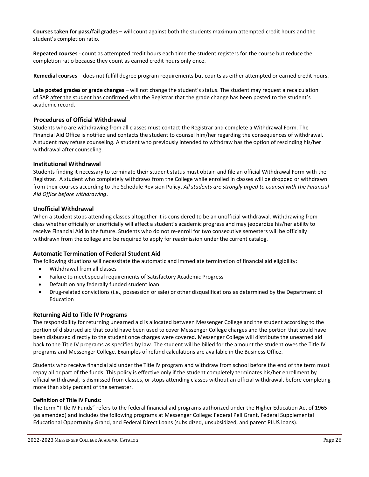**Courses taken for pass/fail grades** – will count against both the students maximum attempted credit hours and the student's completion ratio.

**Repeated courses** - count as attempted credit hours each time the student registers for the course but reduce the completion ratio because they count as earned credit hours only once.

**Remedial courses** – does not fulfill degree program requirements but counts as either attempted or earned credit hours.

**Late posted grades or grade changes** – will not change the student's status. The student may request a recalculation of SAP after the student has confirmed with the Registrar that the grade change has been posted to the student's academic record.

#### **Procedures of Official Withdrawal**

Students who are withdrawing from all classes must contact the Registrar and complete a Withdrawal Form. The Financial Aid Office is notified and contacts the student to counsel him/her regarding the consequences of withdrawal. A student may refuse counseling. A student who previously intended to withdraw has the option of rescinding his/her withdrawal after counseling.

#### **Institutional Withdrawal**

Students finding it necessary to terminate their student status must obtain and file an official Withdrawal Form with the Registrar. A student who completely withdraws from the College while enrolled in classes will be dropped or withdrawn from their courses according to the Schedule Revision Policy. *All students are strongly urged to counsel with the Financial Aid Office before withdrawing*.

#### **Unofficial Withdrawal**

When a student stops attending classes altogether it is considered to be an unofficial withdrawal. Withdrawing from class whether officially or unofficially will affect a student's academic progress and may jeopardize his/her ability to receive Financial Aid in the future. Students who do not re-enroll for two consecutive semesters will be officially withdrawn from the college and be required to apply for readmission under the current catalog.

#### **Automatic Termination of Federal Student Aid**

The following situations will necessitate the automatic and immediate termination of financial aid eligibility:

- Withdrawal from all classes
- Failure to meet special requirements of Satisfactory Academic Progress
- Default on any federally funded student loan
- Drug-related convictions (i.e., possession or sale) or other disqualifications as determined by the Department of Education

#### **Returning Aid to Title IV Programs**

The responsibility for returning unearned aid is allocated between Messenger College and the student according to the portion of disbursed aid that could have been used to cover Messenger College charges and the portion that could have been disbursed directly to the student once charges were covered. Messenger College will distribute the unearned aid back to the Title IV programs as specified by law. The student will be billed for the amount the student owes the Title IV programs and Messenger College. Examples of refund calculations are available in the Business Office.

Students who receive financial aid under the Title IV program and withdraw from school before the end of the term must repay all or part of the funds. This policy is effective only if the student completely terminates his/her enrollment by official withdrawal, is dismissed from classes, or stops attending classes without an official withdrawal, before completing more than sixty percent of the semester.

#### **Definition of Title IV Funds:**

The term "Title IV Funds" refers to the federal financial aid programs authorized under the Higher Education Act of 1965 (as amended) and includes the following programs at Messenger College: Federal Pell Grant, Federal Supplemental Educational Opportunity Grand, and Federal Direct Loans (subsidized, unsubsidized, and parent PLUS loans).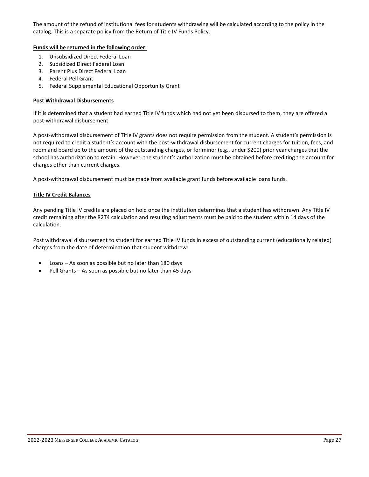The amount of the refund of institutional fees for students withdrawing will be calculated according to the policy in the catalog. This is a separate policy from the Return of Title IV Funds Policy.

#### **Funds will be returned in the following order:**

- 1. Unsubsidized Direct Federal Loan
- 2. Subsidized Direct Federal Loan
- 3. Parent Plus Direct Federal Loan
- 4. Federal Pell Grant
- 5. Federal Supplemental Educational Opportunity Grant

#### **Post Withdrawal Disbursements**

If it is determined that a student had earned Title IV funds which had not yet been disbursed to them, they are offered a post-withdrawal disbursement.

A post-withdrawal disbursement of Title IV grants does not require permission from the student. A student's permission is not required to credit a student's account with the post-withdrawal disbursement for current charges for tuition, fees, and room and board up to the amount of the outstanding charges, or for minor (e.g., under \$200) prior year charges that the school has authorization to retain. However, the student's authorization must be obtained before crediting the account for charges other than current charges.

A post-withdrawal disbursement must be made from available grant funds before available loans funds.

#### **Title IV Credit Balances**

Any pending Title IV credits are placed on hold once the institution determines that a student has withdrawn. Any Title IV credit remaining after the R2T4 calculation and resulting adjustments must be paid to the student within 14 days of the calculation.

Post withdrawal disbursement to student for earned Title IV funds in excess of outstanding current (educationally related) charges from the date of determination that student withdrew:

- Loans  $-$  As soon as possible but no later than 180 days
- Pell Grants As soon as possible but no later than 45 days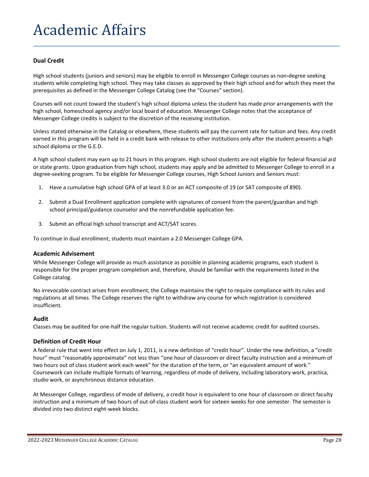## Academic Affairs

#### **Dual Credit**

High school students (juniors and seniors) may be eligible to enroll in Messenger College courses as non**-**degree seeking students while completing high school. They may take classes as approved by their high school and for which they meet the prerequisites as defined in the Messenger College Catalog (see the "Courses" section).

Courses will not count toward the student's high school diploma unless the student has made prior arrangements with the high school, homeschool agency and/or local board of education. Messenger College notes that the acceptance of Messenger College credits is subject to the discretion of the receiving institution.

Unless stated otherwise in the Catalog or elsewhere, these students will pay the current rate for tuition and fees. Any credit earned in this program will be held in a credit bank with release to other institutions only after the student presents a high school diploma or the G.E.D.

A high school student may earn up to 21 hours in this program. High school students are not eligible for federal financial aid or state grants. Upon graduation from high school, students may apply and be admitted to Messenger College to enroll in a degree**-**seeking program. To be eligible for Messenger College courses, High School Juniors and Seniors must:

- 1. Have a cumulative high school GPA of at least 3.0 or an ACT composite of 19 (or SAT composite of 890).
- 2. Submit a Dual Enrollment application complete with signatures of consent from the parent/guardian and high school principal/guidance counselor and the nonrefundable application fee.
- 3. Submit an official high school transcript and ACT/SAT scores.

To continue in dual enrollment, students must maintain a 2.0 Messenger College GPA.

#### **Academic Advisement**

While Messenger College will provide as much assistance as possible in planning academic programs, each student is responsible for the proper program completion and, therefore, should be familiar with the requirements listed in the College catalog.

No irrevocable contract arises from enrollment; the College maintains the right to require compliance with its rules and regulations at all times. The College reserves the right to withdraw any course for which registration is considered insufficient.

#### **Audit**

Classes may be audited for one-half the regular tuition. Students will not receive academic credit for audited courses.

#### **Definition of Credit Hour**

A federal rule that went into effect on July 1, 2011, is a new definition of "credit hour". Under the new definition, a "credit hour" must "reasonably approximate" not less than "one hour of classroom or direct faculty instruction and a minimum of two hours out of class student work each week" for the duration of the term, or "an equivalent amount of work." Coursework can include multiple formats of learning, regardless of mode of delivery, including laboratory work, practica, studio work, or asynchronous distance education.

At Messenger College, regardless of mode of delivery, a credit hour is equivalent to one hour of classroom or direct faculty instruction and a minimum of two hours of out-of-class student work for sixteen weeks for one semester. The semester is divided into two distinct eight-week blocks.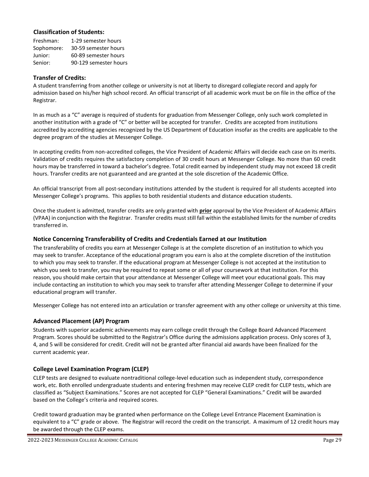#### **Classification of Students:**

| Freshman:  | 1-29 semester hours   |
|------------|-----------------------|
| Sophomore: | 30-59 semester hours  |
| Junior:    | 60-89 semester hours  |
| Senior:    | 90-129 semester hours |

#### **Transfer of Credits:**

A student transferring from another college or university is not at liberty to disregard collegiate record and apply for admission based on his/her high school record. An official transcript of all academic work must be on file in the office of the Registrar.

In as much as a "C" average is required of students for graduation from Messenger College, only such work completed in another institution with a grade of "C" or better will be accepted for transfer. Credits are accepted from institutions accredited by accrediting agencies recognized by the US Department of Education insofar as the credits are applicable to the degree program of the studies at Messenger College.

In accepting credits from non-accredited colleges, the Vice President of Academic Affairs will decide each case on its merits. Validation of credits requires the satisfactory completion of 30 credit hours at Messenger College. No more than 60 credit hours may be transferred in toward a bachelor's degree. Total credit earned by independent study may not exceed 18 credit hours. Transfer credits are not guaranteed and are granted at the sole discretion of the Academic Office.

An official transcript from all post-secondary institutions attended by the student is required for all students accepted into Messenger College's programs. This applies to both residential students and distance education students.

Once the student is admitted, transfer credits are only granted with **prior** approval by the Vice President of Academic Affairs (VPAA) in conjunction with the Registrar. Transfer credits must still fall within the established limits for the number of credits transferred in.

#### **Notice Concerning Transferability of Credits and Credentials Earned at our Institution**

The transferability of credits you earn at Messenger College is at the complete discretion of an institution to which you may seek to transfer. Acceptance of the educational program you earn is also at the complete discretion of the institution to which you may seek to transfer. If the educational program at Messenger College is not accepted at the institution to which you seek to transfer, you may be required to repeat some or all of your coursework at that institution. For this reason, you should make certain that your attendance at Messenger College will meet your educational goals. This may include contacting an institution to which you may seek to transfer after attending Messenger College to determine if your educational program will transfer.

Messenger College has not entered into an articulation or transfer agreement with any other college or university at this time.

#### **Advanced Placement (AP) Program**

Students with superior academic achievements may earn college credit through the College Board Advanced Placement Program. Scores should be submitted to the Registrar's Office during the admissions application process. Only scores of 3, 4, and 5 will be considered for credit. Credit will not be granted after financial aid awards have been finalized for the current academic year.

#### **College Level Examination Program (CLEP)**

CLEP tests are designed to evaluate nontraditional college-level education such as independent study, correspondence work, etc. Both enrolled undergraduate students and entering freshmen may receive CLEP credit for CLEP tests, which are classified as "Subject Examinations." Scores are not accepted for CLEP "General Examinations." Credit will be awarded based on the College's criteria and required scores.

Credit toward graduation may be granted when performance on the College Level Entrance Placement Examination is equivalent to a "C" grade or above. The Registrar will record the credit on the transcript. A maximum of 12 credit hours may be awarded through the CLEP exams.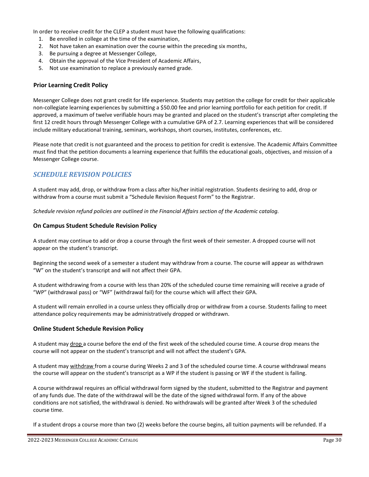In order to receive credit for the CLEP a student must have the following qualifications:

- 1. Be enrolled in college at the time of the examination,
- 2. Not have taken an examination over the course within the preceding six months,
- 3. Be pursuing a degree at Messenger College,
- 4. Obtain the approval of the Vice President of Academic Affairs,
- 5. Not use examination to replace a previously earned grade.

#### **Prior Learning Credit Policy**

Messenger College does not grant credit for life experience. Students may petition the college for credit for their applicable non-collegiate learning experiences by submitting a \$50.00 fee and prior learning portfolio for each petition for credit. If approved, a maximum of twelve verifiable hours may be granted and placed on the student's transcript after completing the first 12 credit hours through Messenger College with a cumulative GPA of 2.7. Learning experiences that will be considered include military educational training, seminars, workshops, short courses, institutes, conferences, etc.

Please note that credit is not guaranteed and the process to petition for credit is extensive. The Academic Affairs Committee must find that the petition documents a learning experience that fulfills the educational goals, objectives, and mission of a Messenger College course.

#### *SCHEDULE REVISION POLICIES*

A student may add, drop, or withdraw from a class after his/her initial registration. Students desiring to add, drop or withdraw from a course must submit a "Schedule Revision Request Form" to the Registrar.

*Schedule revision refund policies are outlined in the Financial Affairs section of the Academic catalog.*

#### **On Campus Student Schedule Revision Policy**

A student may continue to add or drop a course through the first week of their semester. A dropped course will not appear on the student's transcript.

Beginning the second week of a semester a student may withdraw from a course. The course will appear as withdrawn "W" on the student's transcript and will not affect their GPA.

A student withdrawing from a course with less than 20% of the scheduled course time remaining will receive a grade of "WP" (withdrawal pass) or "WF" (withdrawal fail) for the course which will affect their GPA.

A student will remain enrolled in a course unless they officially drop or withdraw from a course. Students failing to meet attendance policy requirements may be administratively dropped or withdrawn.

#### **Online Student Schedule Revision Policy**

A student may drop a course before the end of the first week of the scheduled course time. A course drop means the course will not appear on the student's transcript and will not affect the student's GPA.

A student may withdraw from a course during Weeks 2 and 3 of the scheduled course time. A course withdrawal means the course will appear on the student's transcript as a WP if the student is passing or WF if the student is failing.

A course withdrawal requires an official withdrawal form signed by the student, submitted to the Registrar and payment of any funds due. The date of the withdrawal will be the date of the signed withdrawal form. If any of the above conditions are not satisfied, the withdrawal is denied. No withdrawals will be granted after Week 3 of the scheduled course time.

If a student drops a course more than two (2) weeks before the course begins, all tuition payments will be refunded. If a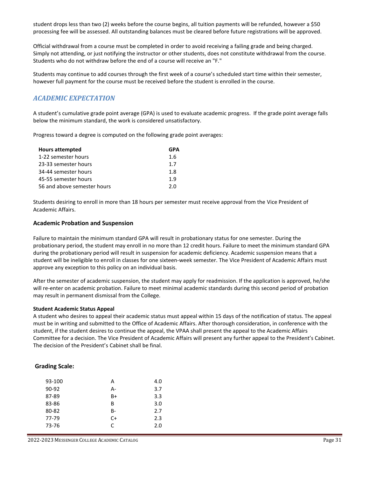student drops less than two (2) weeks before the course begins, all tuition payments will be refunded, however a \$50 processing fee will be assessed. All outstanding balances must be cleared before future registrations will be approved.

Official withdrawal from a course must be completed in order to avoid receiving a failing grade and being charged. Simply not attending, or just notifying the instructor or other students, does not constitute withdrawal from the course. Students who do not withdraw before the end of a course will receive an "F."

Students may continue to add courses through the first week of a course's scheduled start time within their semester, however full payment for the course must be received before the student is enrolled in the course.

## *ACADEMIC EXPECTATION*

A student's cumulative grade point average (GPA) is used to evaluate academic progress. If the grade point average falls below the minimum standard, the work is considered unsatisfactory.

Progress toward a degree is computed on the following grade point averages:

| <b>Hours attempted</b>      | GPA |
|-----------------------------|-----|
| 1-22 semester hours         | 1.6 |
| 23-33 semester hours        | 17  |
| 34-44 semester hours        | 1.8 |
| 45-55 semester hours        | 1.9 |
| 56 and above semester hours | 2 O |

Students desiring to enroll in more than 18 hours per semester must receive approval from the Vice President of Academic Affairs.

#### **Academic Probation and Suspension**

Failure to maintain the minimum standard GPA will result in probationary status for one semester. During the probationary period, the student may enroll in no more than 12 credit hours. Failure to meet the minimum standard GPA during the probationary period will result in suspension for academic deficiency. Academic suspension means that a student will be ineligible to enroll in classes for one sixteen-week semester. The Vice President of Academic Affairs must approve any exception to this policy on an individual basis.

After the semester of academic suspension, the student may apply for readmission. If the application is approved, he/she will re-enter on academic probation. Failure to meet minimal academic standards during this second period of probation may result in permanent dismissal from the College.

#### **Student Academic Status Appeal**

A student who desires to appeal their academic status must appeal within 15 days of the notification of status. The appeal must be in writing and submitted to the Office of Academic Affairs. After thorough consideration, in conference with the student, if the student desires to continue the appeal, the VPAA shall present the appeal to the Academic Affairs Committee for a decision. The Vice President of Academic Affairs will present any further appeal to the President's Cabinet. The decision of the President's Cabinet shall be final.

#### **Grading Scale:**

| 93-100 | А    | 4.0 |
|--------|------|-----|
| 90-92  | А-   | 3.7 |
| 87-89  | B+   | 3.3 |
| 83-86  | в    | 3.0 |
| 80-82  | B-   | 2.7 |
| 77-79  | $C+$ | 2.3 |
| 73-76  | C    | 2.0 |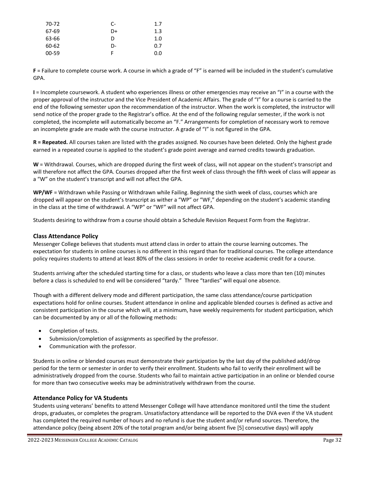| 70-72 | C- | 1.7 |
|-------|----|-----|
| 67-69 | D+ | 1.3 |
| 63-66 | D  | 1.0 |
| 60-62 | n- | 0.7 |
| 00-59 | F  | 0.0 |

**F** = Failure to complete course work. A course in which a grade of "F" is earned will be included in the student's cumulative GPA.

**I** = Incomplete coursework. A student who experiences illness or other emergencies may receive an "I" in a course with the proper approval of the instructor and the Vice President of Academic Affairs. The grade of "I" for a course is carried to the end of the following semester upon the recommendation of the instructor. When the work is completed, the instructor will send notice of the proper grade to the Registrar's office. At the end of the following regular semester, if the work is not completed, the incomplete will automatically become an "F." Arrangements for completion of necessary work to remove an incomplete grade are made with the course instructor. A grade of "I" is not figured in the GPA.

**R = Repeated.** All courses taken are listed with the grades assigned. No courses have been deleted. Only the highest grade earned in a repeated course is applied to the student's grade point average and earned credits towards graduation.

**W** = Withdrawal. Courses, which are dropped during the first week of class, will not appear on the student's transcript and will therefore not affect the GPA. Courses dropped after the first week of class through the fifth week of class will appear as a "W" on the student's transcript and will not affect the GPA.

**WP/WF** = Withdrawn while Passing or Withdrawn while Failing. Beginning the sixth week of class, courses which are dropped will appear on the student's transcript as wither a "WP" or "WF," depending on the student's academic standing in the class at the time of withdrawal. A "WP" or "WF" will not affect GPA.

Students desiring to withdraw from a course should obtain a Schedule Revision Request Form from the Registrar.

#### **Class Attendance Policy**

Messenger College believes that students must attend class in order to attain the course learning outcomes. The expectation for students in online courses is no different in this regard than for traditional courses. The college attendance policy requires students to attend at least 80% of the class sessions in order to receive academic credit for a course.

Students arriving after the scheduled starting time for a class, or students who leave a class more than ten (10) minutes before a class is scheduled to end will be considered "tardy." Three "tardies" will equal one absence.

Though with a different delivery mode and different participation, the same class attendance/course participation expectations hold for online courses. Student attendance in online and applicable blended courses is defined as active and consistent participation in the course which will, at a minimum, have weekly requirements for student participation, which can be documented by any or all of the following methods:

- Completion of tests.
- Submission/completion of assignments as specified by the professor.
- Communication with the professor.

Students in online or blended courses must demonstrate their participation by the last day of the published add/drop period for the term or semester in order to verify their enrollment. Students who fail to verify their enrollment will be administratively dropped from the course. Students who fail to maintain active participation in an online or blended course for more than two consecutive weeks may be administratively withdrawn from the course.

#### **Attendance Policy for VA Students**

Students using veterans' benefits to attend Messenger College will have attendance monitored until the time the student drops, graduates, or completes the program. Unsatisfactory attendance will be reported to the DVA even if the VA student has completed the required number of hours and no refund is due the student and/or refund sources. Therefore, the attendance policy (being absent 20% of the total program and/or being absent five [5] consecutive days) will apply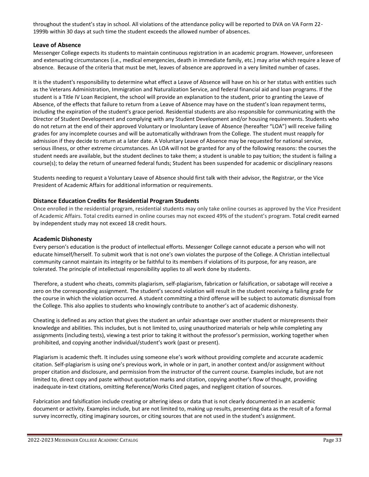throughout the student's stay in school. All violations of the attendance policy will be reported to DVA on VA Form 22- 1999b within 30 days at such time the student exceeds the allowed number of absences.

#### **Leave of Absence**

Messenger College expects its students to maintain continuous registration in an academic program. However, unforeseen and extenuating circumstances (i.e., medical emergencies, death in immediate family, etc.) may arise which require a leave of absence. Because of the criteria that must be met, leaves of absence are approved in a very limited number of cases.

It is the student's responsibility to determine what effect a Leave of Absence will have on his or her status with entities such as the Veterans Administration, Immigration and Naturalization Service, and federal financial aid and loan programs. If the student is a Title IV Loan Recipient, the school will provide an explanation to the student, prior to granting the Leave of Absence, of the effects that failure to return from a Leave of Absence may have on the student's loan repayment terms, including the expiration of the student's grace period. Residential students are also responsible for communicating with the Director of Student Development and complying with any Student Development and/or housing requirements. Students who do not return at the end of their approved Voluntary or Involuntary Leave of Absence (hereafter "LOA") will receive failing grades for any incomplete courses and will be automatically withdrawn from the College. The student must reapply for admission if they decide to return at a later date. A Voluntary Leave of Absence may be requested for national service, serious illness, or other extreme circumstances. An LOA will not be granted for any of the following reasons: the courses the student needs are available, but the student declines to take them; a student is unable to pay tuition; the student is failing a course(s); to delay the return of unearned federal funds; Student has been suspended for academic or disciplinary reasons

Students needing to request a Voluntary Leave of Absence should first talk with their advisor, the Registrar, or the Vice President of Academic Affairs for additional information or requirements.

#### **Distance Education Credits for Residential Program Students**

Once enrolled in the residential program, residential students may only take online courses as approved by the Vice President of Academic Affairs. Total credits earned in online courses may not exceed 49% of the student's program. Total credit earned by independent study may not exceed 18 credit hours.

#### **Academic Dishonesty**

Every person's education is the product of intellectual efforts. Messenger College cannot educate a person who will not educate himself/herself. To submit work that is not one's own violates the purpose of the College. A Christian intellectual community cannot maintain its integrity or be faithful to its members if violations of its purpose, for any reason, are tolerated. The principle of intellectual responsibility applies to all work done by students.

Therefore, a student who cheats, commits plagiarism, self-plagiarism, fabrication or falsification, or sabotage will receive a zero on the corresponding assignment. The student's second violation will result in the student receiving a failing grade for the course in which the violation occurred. A student committing a third offense will be subject to automatic dismissal from the College. This also applies to students who knowingly contribute to another's act of academic dishonesty.

Cheating is defined as any action that gives the student an unfair advantage over another student or misrepresents their knowledge and abilities. This includes, but is not limited to, using unauthorized materials or help while completing any assignments (including tests), viewing a test prior to taking it without the professor's permission, working together when prohibited, and copying another individual/student's work (past or present).

Plagiarism is academic theft. It includes using someone else's work without providing complete and accurate academic citation. Self-plagiarism is using one's previous work, in whole or in part, in another context and/or assignment without proper citation and disclosure, and permission from the instructor of the current course. Examples include, but are not limited to, direct copy and paste without quotation marks and citation, copying another's flow of thought, providing inadequate in-text citations, omitting Reference/Works Cited pages, and negligent citation of sources.

Fabrication and falsification include creating or altering ideas or data that is not clearly documented in an academic document or activity. Examples include, but are not limited to, making up results, presenting data as the result of a formal survey incorrectly, citing imaginary sources, or citing sources that are not used in the student's assignment.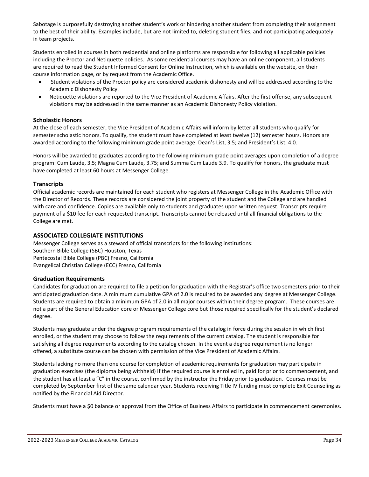Sabotage is purposefully destroying another student's work or hindering another student from completing their assignment to the best of their ability. Examples include, but are not limited to, deleting student files, and not participating adequately in team projects.

Students enrolled in courses in both residential and online platforms are responsible for following all applicable policies including the Proctor and Netiquette policies. As some residential courses may have an online component, all students are required to read the Student Informed Consent for Online Instruction, which is available on the website, on their course information page, or by request from the Academic Office.

- Student violations of the Proctor policy are considered academic dishonesty and will be addressed according to the Academic Dishonesty Policy.
- Netiquette violations are reported to the Vice President of Academic Affairs. After the first offense, any subsequent violations may be addressed in the same manner as an Academic Dishonesty Policy violation.

#### **Scholastic Honors**

At the close of each semester, the Vice President of Academic Affairs will inform by letter all students who qualify for semester scholastic honors. To qualify, the student must have completed at least twelve (12) semester hours. Honors are awarded according to the following minimum grade point average: Dean's List, 3.5; and President's List, 4.0.

Honors will be awarded to graduates according to the following minimum grade point averages upon completion of a degree program: Cum Laude, 3.5; Magna Cum Laude, 3.75; and Summa Cum Laude 3.9. To qualify for honors, the graduate must have completed at least 60 hours at Messenger College.

#### **Transcripts**

Official academic records are maintained for each student who registers at Messenger College in the Academic Office with the Director of Records. These records are considered the joint property of the student and the College and are handled with care and confidence. Copies are available only to students and graduates upon written request. Transcripts require payment of a \$10 fee for each requested transcript. Transcripts cannot be released until all financial obligations to the College are met.

#### **ASSOCIATED COLLEGIATE INSTITUTIONS**

Messenger College serves as a steward of official transcripts for the following institutions: Southern Bible College (SBC) Houston, Texas Pentecostal Bible College (PBC) Fresno, California Evangelical Christian College (ECC) Fresno, California

#### **Graduation Requirements**

Candidates for graduation are required to file a petition for graduation with the Registrar's office two semesters prior to their anticipated graduation date. A minimum cumulative GPA of 2.0 is required to be awarded any degree at Messenger College. Students are required to obtain a minimum GPA of 2.0 in all major courses within their degree program. These courses are not a part of the General Education core or Messenger College core but those required specifically for the student's declared degree.

Students may graduate under the degree program requirements of the catalog in force during the session in which first enrolled, or the student may choose to follow the requirements of the current catalog. The student is responsible for satisfying all degree requirements according to the catalog chosen. In the event a degree requirement is no longer offered, a substitute course can be chosen with permission of the Vice President of Academic Affairs.

Students lacking no more than one course for completion of academic requirements for graduation may participate in graduation exercises (the diploma being withheld) if the required course is enrolled in, paid for prior to commencement, and the student has at least a "C" in the course, confirmed by the instructor the Friday prior to graduation. Courses must be completed by September first of the same calendar year. Students receiving Title IV funding must complete Exit Counseling as notified by the Financial Aid Director.

Students must have a \$0 balance or approval from the Office of Business Affairs to participate in commencement ceremonies.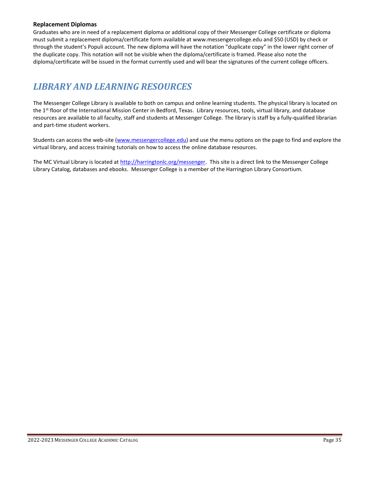#### **Replacement Diplomas**

Graduates who are in need of a replacement diploma or additional copy of their Messenger College certificate or diploma must submit a replacement diploma/certificate form available at [www.messengercollege.edu](http://www.messengercollege.edu/) and \$50 (USD) by check or through the student's Populi account. The new diploma will have the notation "duplicate copy" in the lower right corner of the duplicate copy. This notation will not be visible when the diploma/certificate is framed. Please also note the diploma/certificate will be issued in the format currently used and will bear the signatures of the current college officers.

## *LIBRARY AND LEARNING RESOURCES*

The Messenger College Library is available to both on campus and online learning students. The physical library is located on the 1<sup>st</sup> floor of the International Mission Center in Bedford, Texas. Library resources, tools, virtual library, and database resources are available to all faculty, staff and students at Messenger College. The library is staff by a fully-qualified librarian and part-time student workers.

Students can access the web-site [\(www.messengercollege.edu\)](http://www.messengercollege.edu/) and use the menu options on the page to find and explore the virtual library, and access training tutorials on how to access the online database resources.

The MC Virtual Library is located a[t http://harringtonlc.org/messenger.](http://harringtonlc.org/messenger) This site is a direct link to the Messenger College Library Catalog, databases and ebooks. Messenger College is a member of the Harrington Library Consortium.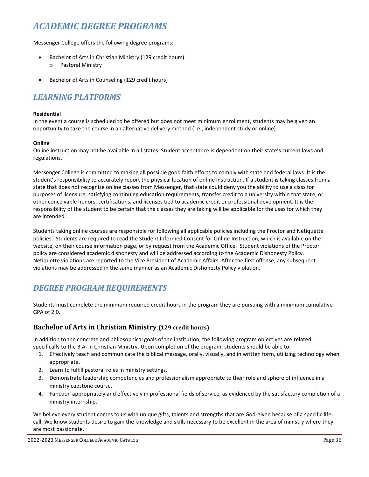## *ACADEMIC DEGREE PROGRAMS*

Messenger College offers the following degree programs:

- Bachelor of Arts in Christian Ministry (129 credit hours) o Pastoral Ministry
- Bachelor of Arts in Counseling (129 credit hours)

## *LEARNING PLATFORMS*

#### **Residential**

In the event a course is scheduled to be offered but does not meet minimum enrollment, students may be given an opportunity to take the course in an alternative delivery method (i.e., independent study or online).

#### **Online**

Online instruction may not be available in all states. Student acceptance is dependent on their state's current laws and regulations.

Messenger College is committed to making all possible good faith efforts to comply with state and federal laws. It is the student's responsibility to accurately report the physical location of online instruction. If a student is taking classes from a state that does not recognize online classes from Messenger, that state could deny you the ability to use a class for purposes of licensure, satisfying continuing education requirements, transfer credit to a university within that state, or other conceivable honors, certifications, and licenses tied to academic credit or professional development. It is the responsibility of the student to be certain that the classes they are taking will be applicable for the uses for which they are intended.

Students taking online courses are responsible for following all applicable policies including the Proctor and Netiquette policies. Students are required to read the Student Informed Consent for Online Instruction, which is available on the website, on their course information page, or by request from the Academic Office. Student violations of the Proctor policy are considered academic dishonesty and will be addressed according to the Academic Dishonesty Policy. Netiquette violations are reported to the Vice President of Academic Affairs. After the first offense, any subsequent violations may be addressed in the same manner as an Academic Dishonesty Policy violation.

## *DEGREE PROGRAM REQUIREMENTS*

Students must complete the minimum required credit hours in the program they are pursuing with a minimum cumulative GPA of 2.0.

### **Bachelor of Arts in Christian Ministry (129 credit hours)**

In addition to the concrete and philosophical goals of the institution, the following program objectives are related specifically to the B.A. in Christian Ministry. Upon completion of the program, students should be able to:

- 1. Effectively teach and communicate the biblical message, orally, visually, and in written form, utilizing technology when appropriate.
- 2. Learn to fulfill pastoral roles in ministry settings.
- 3. Demonstrate leadership competencies and professionalism appropriate to their role and sphere of influence in a ministry capstone course.
- 4. Function appropriately and effectively in professional fields of service, as evidenced by the satisfactory completion of a ministry internship.

We believe every student comes to us with unique gifts, talents and strengths that are God-given because of a specific lifecall. We know students desire to gain the knowledge and skills necessary to be excellent in the area of ministry where they are most passionate.

2022-2023 MESSENGER COLLEGE ACADEMIC CATALOG Page 36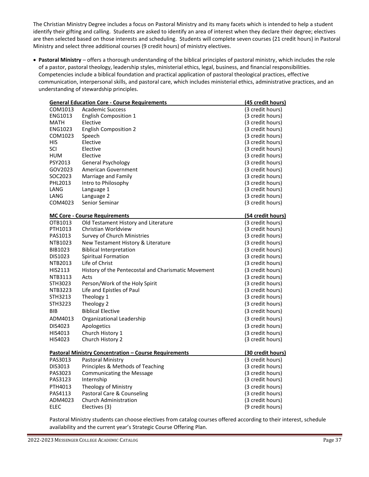The Christian Ministry Degree includes a focus on Pastoral Ministry and its many facets which is intended to help a student identify their gifting and calling. Students are asked to identify an area of interest when they declare their degree; electives are then selected based on those interests and scheduling. Students will complete seven courses (21 credit hours) in Pastoral Ministry and select three additional courses (9 credit hours) of ministry electives.

• **Pastoral Ministry** – offers a thorough understanding of the biblical principles of pastoral ministry, which includes the role of a pastor, pastoral theology, leadership styles, ministerial ethics, legal, business, and financial responsibilities. Competencies include a biblical foundation and practical application of pastoral theological practices, effective communication, interpersonal skills, and pastoral care, which includes ministerial ethics, administrative practices, and an understanding of stewardship principles.

| <b>General Education Core - Course Requirements</b>          |                                                     | (45 credit hours)        |
|--------------------------------------------------------------|-----------------------------------------------------|--------------------------|
| COM1013                                                      | <b>Academic Success</b>                             | (3 credit hours)         |
| ENG1013                                                      | <b>English Composition 1</b>                        | (3 credit hours)         |
| <b>MATH</b>                                                  | Elective                                            | (3 credit hours)         |
| ENG1023                                                      | <b>English Composition 2</b>                        | (3 credit hours)         |
| COM1023                                                      | Speech                                              | (3 credit hours)         |
| HIS                                                          | Elective                                            | (3 credit hours)         |
| SCI                                                          | Elective                                            | (3 credit hours)         |
| <b>HUM</b>                                                   | Elective                                            | (3 credit hours)         |
| PSY2013                                                      | General Psychology                                  | (3 credit hours)         |
| GOV2023                                                      | American Government                                 | (3 credit hours)         |
| SOC2023                                                      | Marriage and Family                                 | (3 credit hours)         |
| PHL2013                                                      | Intro to Philosophy                                 | (3 credit hours)         |
| LANG                                                         | Language 1                                          | (3 credit hours)         |
| LANG                                                         | Language 2                                          | (3 credit hours)         |
| COM4023                                                      | Senior Seminar                                      | (3 credit hours)         |
|                                                              | <b>MC Core - Course Requirements</b>                | (54 credit hours)        |
| OTB1013                                                      | Old Testament History and Literature                | (3 credit hours)         |
| PTH1013                                                      | Christian Worldview                                 | (3 credit hours)         |
| PAS1013                                                      | Survey of Church Ministries                         | (3 credit hours)         |
| NTB1023                                                      | New Testament History & Literature                  | (3 credit hours)         |
| BIB1023                                                      | <b>Biblical Interpretation</b>                      | (3 credit hours)         |
| DIS1023                                                      | <b>Spiritual Formation</b>                          | (3 credit hours)         |
| NTB2013                                                      | Life of Christ                                      | (3 credit hours)         |
| HIS2113                                                      | History of the Pentecostal and Charismatic Movement | (3 credit hours)         |
| NTB3113                                                      | Acts                                                | (3 credit hours)         |
| STH3023                                                      | Person/Work of the Holy Spirit                      | (3 credit hours)         |
| NTB3223                                                      | Life and Epistles of Paul                           | (3 credit hours)         |
| STH3213                                                      | Theology 1                                          | (3 credit hours)         |
| STH3223                                                      | Theology 2                                          | (3 credit hours)         |
| <b>BIB</b>                                                   | <b>Biblical Elective</b>                            | (3 credit hours)         |
| ADM4013                                                      | Organizational Leadership                           | (3 credit hours)         |
| DIS4023                                                      | Apologetics                                         | (3 credit hours)         |
| HIS4013                                                      | Church History 1                                    | (3 credit hours)         |
| HIS4023                                                      | Church History 2                                    | (3 credit hours)         |
| <b>Pastoral Ministry Concentration - Course Requirements</b> |                                                     | <u>(30 credit hours)</u> |
| PAS3013                                                      | Pastoral Ministry                                   | (3 credit hours)         |
| DIS3013                                                      | Principles & Methods of Teaching                    | (3 credit hours)         |
| PAS3023                                                      | <b>Communicating the Message</b>                    | (3 credit hours)         |
| PAS3123                                                      | Internship                                          | (3 credit hours)         |
| PTH4013                                                      | Theology of Ministry                                | (3 credit hours)         |
| PAS4113                                                      | Pastoral Care & Counseling                          | (3 credit hours)         |
| ADM4023                                                      | <b>Church Administration</b>                        | (3 credit hours)         |
| <b>ELEC</b>                                                  | Electives (3)                                       | (9 credit hours)         |

Pastoral Ministry students can choose electives from catalog courses offered according to their interest, schedule availability and the current year's Strategic Course Offering Plan.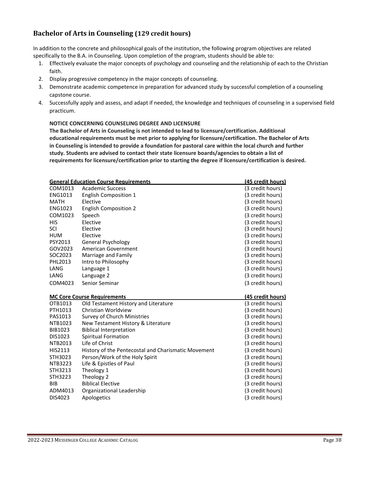## **Bachelor of Arts in Counseling (129 credit hours)**

In addition to the concrete and philosophical goals of the institution, the following program objectives are related specifically to the B.A. in Counseling. Upon completion of the program, students should be able to:

- 1. Effectively evaluate the major concepts of psychology and counseling and the relationship of each to the Christian faith.
- 2. Display progressive competency in the major concepts of counseling.
- 3. Demonstrate academic competence in preparation for advanced study by successful completion of a counseling capstone course.
- 4. Successfully apply and assess, and adapt if needed, the knowledge and techniques of counseling in a supervised field practicum.

#### **NOTICE CONCERNING COUNSELING DEGREE AND LICENSURE**

**The Bachelor of Arts in Counseling is not intended to lead to licensure/certification. Additional educational requirements must be met prior to applying for licensure/certification. The Bachelor of Arts in Counseling is intended to provide a foundation for pastoral care within the local church and further study. Students are advised to contact their state licensure boards/agencies to obtain a list of requirements for licensure/certification prior to starting the degree if licensure/certification is desired.**

| <b>General Education Course Requirements</b> |                                                     | (45 credit hours)                    |
|----------------------------------------------|-----------------------------------------------------|--------------------------------------|
| COM1013                                      | <b>Academic Success</b>                             | (3 credit hours)                     |
| <b>ENG1013</b>                               | <b>English Composition 1</b>                        | (3 credit hours)                     |
| <b>MATH</b>                                  | Elective                                            | (3 credit hours)                     |
| ENG1023                                      | <b>English Composition 2</b>                        | (3 credit hours)                     |
| COM1023                                      | Speech                                              | (3 credit hours)                     |
| HIS                                          | Elective                                            | (3 credit hours)                     |
| SCI                                          | Elective                                            | (3 credit hours)                     |
| <b>HUM</b>                                   | Elective                                            | (3 credit hours)                     |
| PSY2013                                      | General Psychology                                  | (3 credit hours)                     |
| GOV2023                                      | American Government                                 | (3 credit hours)                     |
| SOC2023                                      | Marriage and Family                                 | (3 credit hours)                     |
| PHL2013                                      | Intro to Philosophy                                 | (3 credit hours)                     |
| LANG                                         | Language 1                                          | (3 credit hours)                     |
| LANG                                         | Language 2                                          | (3 credit hours)                     |
| COM4023                                      | Senior Seminar                                      | (3 credit hours)                     |
|                                              |                                                     |                                      |
|                                              | <b>MC Core Course Requirements</b>                  | (45 credit hours)                    |
| OTB1013                                      | Old Testament History and Literature                | (3 credit hours)                     |
| PTH1013                                      | Christian Worldview                                 | (3 credit hours)                     |
| PAS1013                                      | Survey of Church Ministries                         | (3 credit hours)                     |
| NTB1023                                      | New Testament History & Literature                  | (3 credit hours)                     |
| BIB1023                                      | <b>Biblical Interpretation</b>                      | (3 credit hours)                     |
| DIS1023                                      | Spiritual Formation                                 | (3 credit hours)                     |
| NTB2013                                      | Life of Christ                                      | (3 credit hours)                     |
| HIS2113                                      | History of the Pentecostal and Charismatic Movement | (3 credit hours)                     |
| STH3023                                      | Person/Work of the Holy Spirit                      | (3 credit hours)                     |
| <b>NTB3223</b>                               | Life & Epistles of Paul                             | (3 credit hours)                     |
| STH3213                                      | Theology 1                                          | (3 credit hours)                     |
| STH3223                                      | Theology 2                                          | (3 credit hours)                     |
| <b>BIB</b>                                   | <b>Biblical Elective</b>                            | (3 credit hours)                     |
| ADM4013                                      | Organizational Leadership                           | (3 credit hours)<br>(3 credit hours) |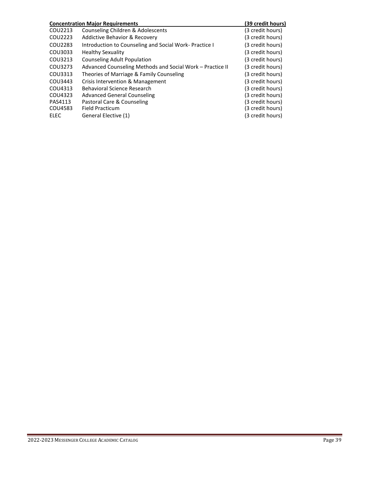| <b>Concentration Major Requirements</b> |                                                           | (39 credit hours) |
|-----------------------------------------|-----------------------------------------------------------|-------------------|
| COU2213                                 | Counseling Children & Adolescents                         | (3 credit hours)  |
| COU2223                                 | <b>Addictive Behavior &amp; Recovery</b>                  | (3 credit hours)  |
| COU2283                                 | Introduction to Counseling and Social Work-Practice I     | (3 credit hours)  |
| COU3033                                 | <b>Healthy Sexuality</b>                                  | (3 credit hours)  |
| COU3213                                 | <b>Counseling Adult Population</b>                        | (3 credit hours)  |
| COU3273                                 | Advanced Counseling Methods and Social Work - Practice II | (3 credit hours)  |
| COU3313                                 | Theories of Marriage & Family Counseling                  | (3 credit hours)  |
| COU3443                                 | Crisis Intervention & Management                          | (3 credit hours)  |
| COU4313                                 | Behavioral Science Research                               | (3 credit hours)  |
| COU4323                                 | Advanced General Counseling                               | (3 credit hours)  |
| PAS4113                                 | Pastoral Care & Counseling                                | (3 credit hours)  |
| COU4583                                 | <b>Field Practicum</b>                                    | (3 credit hours)  |
| ELEC                                    | General Elective (1)                                      | (3 credit hours)  |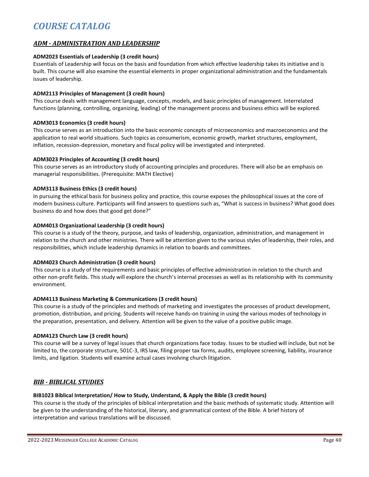## *COURSE CATALOG*

#### *ADM - ADMINISTRATION AND LEADERSHIP*

#### **ADM2023 Essentials of Leadership (3 credit hours)**

Essentials of Leadership will focus on the basis and foundation from which effective leadership takes its initiative and is built. This course will also examine the essential elements in proper organizational administration and the fundamentals issues of leadership.

#### **ADM2113 Principles of Management (3 credit hours)**

This course deals with management language, concepts, models, and basic principles of management. Interrelated functions (planning, controlling, organizing, leading) of the management process and business ethics will be explored.

#### **ADM3013 Economics (3 credit hours)**

This course serves as an introduction into the basic economic concepts of microeconomics and macroeconomics and the application to real world situations. Such topics as consumerism, economic growth, market structures, employment, inflation, recession-depression, monetary and fiscal policy will be investigated and interpreted.

#### **ADM3023 Principles of Accounting (3 credit hours)**

This course serves as an introductory study of accounting principles and procedures. There will also be an emphasis on managerial responsibilities. (Prerequisite: MATH Elective)

#### **ADM3113 Business Ethics (3 credit hours)**

In pursuing the ethical basis for business policy and practice, this course exposes the philosophical issues at the core of modern business culture. Participants will find answers to questions such as, "What is success in business? What good does business do and how does that good get done?"

#### **ADM4013 Organizational Leadership (3 credit hours)**

This course is a study of the theory, purpose, and tasks of leadership, organization, administration, and management in relation to the church and other ministries. There will be attention given to the various styles of leadership, their roles, and responsibilities, which include leadership dynamics in relation to boards and committees.

#### **ADM4023 Church Administration (3 credit hours)**

This course is a study of the requirements and basic principles of effective administration in relation to the church and other non-profit fields. This study will explore the church's internal processes as well as its relationship with its community environment.

#### **ADM4113 Business Marketing & Communications (3 credit hours)**

This course is a study of the principles and methods of marketing and investigates the processes of product development, promotion, distribution, and pricing. Students will receive hands-on training in using the various modes of technology in the preparation, presentation, and delivery. Attention will be given to the value of a positive public image.

#### **ADM4123 Church Law (3 credit hours)**

This course will be a survey of legal issues that church organizations face today. Issues to be studied will include, but not be limited to, the corporate structure, 501C-3, IRS law, filing proper tax forms, audits, employee screening, liability, insurance limits, and ligation. Students will examine actual cases involving church litigation.

#### *BIB - BIBLICAL STUDIES*

#### **BIB1023 Biblical Interpretation/ How to Study, Understand, & Apply the Bible (3 credit hours)**

This course is the study of the principles of biblical interpretation and the basic methods of systematic study. Attention will be given to the understanding of the historical, literary, and grammatical context of the Bible. A brief history of interpretation and various translations will be discussed.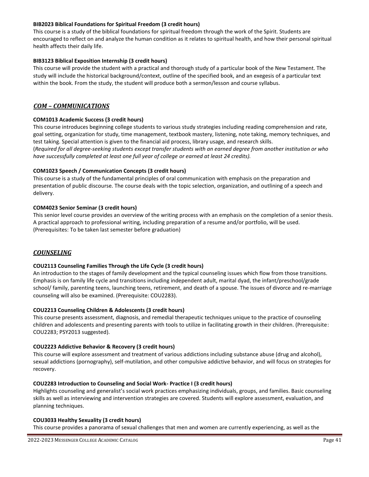#### **BIB2023 Biblical Foundations for Spiritual Freedom (3 credit hours)**

This course is a study of the biblical foundations for spiritual freedom through the work of the Spirit. Students are encouraged to reflect on and analyze the human condition as it relates to spiritual health, and how their personal spiritual health affects their daily life.

#### **BIB3123 Biblical Exposition Internship (3 credit hours)**

This course will provide the student with a practical and thorough study of a particular book of the New Testament. The study will include the historical background/context, outline of the specified book, and an exegesis of a particular text within the book. From the study, the student will produce both a sermon/lesson and course syllabus.

#### *COM – COMMUNICATIONS*

#### **COM1013 Academic Success (3 credit hours)**

This course introduces beginning college students to various study strategies including reading comprehension and rate, goal setting, organization for study, time management, textbook mastery, listening, note taking, memory techniques, and test taking. Special attention is given to the financial aid process, library usage, and research skills. (*Required for all degree-seeking students except transfer students with an earned degree from another institution or who have successfully completed at least one full year of college or earned at least 24 credits).*

#### **COM1023 Speech / Communication Concepts (3 credit hours)**

This course is a study of the fundamental principles of oral communication with emphasis on the preparation and presentation of public discourse. The course deals with the topic selection, organization, and outlining of a speech and delivery.

#### **COM4023 Senior Seminar (3 credit hours)**

This senior level course provides an overview of the writing process with an emphasis on the completion of a senior thesis. A practical approach to professional writing, including preparation of a resume and/or portfolio, will be used. (Prerequisites: To be taken last semester before graduation)

#### *COUNSELING*

#### **COU2113 Counseling Families Through the Life Cycle (3 credit hours)**

An introduction to the stages of family development and the typical counseling issues which flow from those transitions. Emphasis is on family life cycle and transitions including independent adult, marital dyad, the infant/preschool/grade school/ family, parenting teens, launching teens, retirement, and death of a spouse. The issues of divorce and re-marriage counseling will also be examined. (Prerequisite: COU2283).

#### **COU2213 Counseling Children & Adolescents (3 credit hours)**

This course presents assessment, diagnosis, and remedial therapeutic techniques unique to the practice of counseling children and adolescents and presenting parents with tools to utilize in facilitating growth in their children. (Prerequisite: COU2283; PSY2013 suggested).

#### **COU2223 Addictive Behavior & Recovery (3 credit hours)**

This course will explore assessment and treatment of various addictions including substance abuse (drug and alcohol), sexual addictions (pornography), self-mutilation, and other compulsive addictive behavior, and will focus on strategies for recovery.

#### **COU2283 Introduction to Counseling and Social Work- Practice I (3 credit hours)**

Highlights counseling and generalist's social work practices emphasizing individuals, groups, and families. Basic counseling skills as well as interviewing and intervention strategies are covered. Students will explore assessment, evaluation, and planning techniques.

#### **COU3033 Healthy Sexuality (3 credit hours)**

This course provides a panorama of sexual challenges that men and women are currently experiencing, as well as the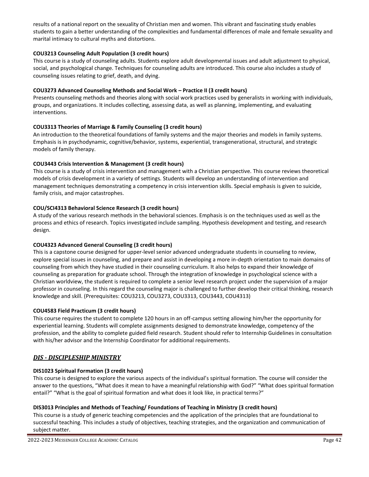results of a national report on the sexuality of Christian men and women. This vibrant and fascinating study enables students to gain a better understanding of the complexities and fundamental differences of male and female sexuality and marital intimacy to cultural myths and distortions.

#### **COU3213 Counseling Adult Population (3 credit hours)**

This course is a study of counseling adults. Students explore adult developmental issues and adult adjustment to physical, social, and psychological change. Techniques for counseling adults are introduced. This course also includes a study of counseling issues relating to grief, death, and dying.

#### **COU3273 Advanced Counseling Methods and Social Work – Practice II (3 credit hours)**

Presents counseling methods and theories along with social work practices used by generalists in working with individuals, groups, and organizations. It includes collecting, assessing data, as well as planning, implementing, and evaluating interventions.

#### **COU3313 Theories of Marriage & Family Counseling (3 credit hours)**

An introduction to the theoretical foundations of family systems and the major theories and models in family systems. Emphasis is in psychodynamic, cognitive/behavior, systems, experiential, transgenerational, structural, and strategic models of family therapy.

#### **COU3443 Crisis Intervention & Management (3 credit hours)**

This course is a study of crisis intervention and management with a Christian perspective. This course reviews theoretical models of crisis development in a variety of settings. Students will develop an understanding of intervention and management techniques demonstrating a competency in crisis intervention skills. Special emphasis is given to suicide, family crisis, and major catastrophes.

#### **COU/SCI4313 Behavioral Science Research (3 credit hours)**

A study of the various research methods in the behavioral sciences. Emphasis is on the techniques used as well as the process and ethics of research. Topics investigated include sampling. Hypothesis development and testing, and research design.

#### **COU4323 Advanced General Counseling (3 credit hours)**

This is a capstone course designed for upper-level senior advanced undergraduate students in counseling to review, explore special issues in counseling, and prepare and assist in developing a more in-depth orientation to main domains of counseling from which they have studied in their counseling curriculum. It also helps to expand their knowledge of counseling as preparation for graduate school. Through the integration of knowledge in psychological science with a Christian worldview, the student is required to complete a senior level research project under the supervision of a major professor in counseling. In this regard the counseling major is challenged to further develop their critical thinking, research knowledge and skill. (Prerequisites: COU3213, COU3273, COU3313, COU3443, COU4313)

#### **COU4583 Field Practicum (3 credit hours)**

This course requires the student to complete 120 hours in an off-campus setting allowing him/her the opportunity for experiential learning. Students will complete assignments designed to demonstrate knowledge, competency of the profession, and the ability to complete guided field research. Student should refer to Internship Guidelines in consultation with his/her advisor and the Internship Coordinator for additional requirements.

#### *DIS - DISCIPLESHIP MINISTRY*

#### **DIS1023 Spiritual Formation (3 credit hours)**

This course is designed to explore the various aspects of the individual's spiritual formation. The course will consider the answer to the questions, "What does it mean to have a meaningful relationship with God?" "What does spiritual formation entail?" "What is the goal of spiritual formation and what does it look like, in practical terms?"

#### **DIS3013 Principles and Methods of Teaching/ Foundations of Teaching in Ministry (3 credit hours)**

This course is a study of generic teaching competencies and the application of the principles that are foundational to successful teaching. This includes a study of objectives, teaching strategies, and the organization and communication of subject matter.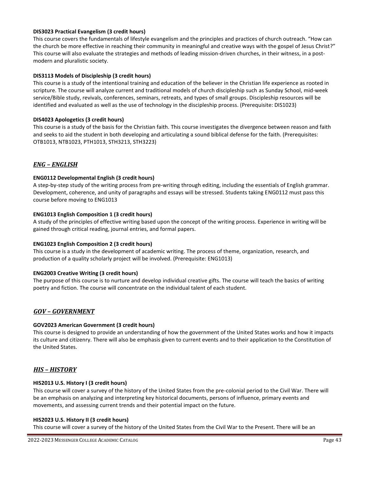#### **DIS3023 Practical Evangelism (3 credit hours)**

This course covers the fundamentals of lifestyle evangelism and the principles and practices of church outreach. "How can the church be more effective in reaching their community in meaningful and creative ways with the gospel of Jesus Christ?" This course will also evaluate the strategies and methods of leading mission-driven churches, in their witness, in a postmodern and pluralistic society.

#### **DIS3113 Models of Discipleship (3 credit hours)**

This course is a study of the intentional training and education of the believer in the Christian life experience as rooted in scripture. The course will analyze current and traditional models of church discipleship such as Sunday School, mid-week service/Bible study, revivals, conferences, seminars, retreats, and types of small groups. Discipleship resources will be identified and evaluated as well as the use of technology in the discipleship process. (Prerequisite: DIS1023)

#### **DIS4023 Apologetics (3 credit hours)**

This course is a study of the basis for the Christian faith. This course investigates the divergence between reason and faith and seeks to aid the student in both developing and articulating a sound biblical defense for the faith. (Prerequisites: OTB1013, NTB1023, PTH1013, STH3213, STH3223)

#### *ENG – ENGLISH*

#### **ENG0112 Developmental English (3 credit hours)**

A step-by-step study of the writing process from pre-writing through editing, including the essentials of English grammar. Development, coherence, and unity of paragraphs and essays will be stressed. Students taking ENG0112 must pass this course before moving to ENG1013

#### **ENG1013 English Composition 1 (3 credit hours)**

A study of the principles of effective writing based upon the concept of the writing process. Experience in writing will be gained through critical reading, journal entries, and formal papers.

#### **ENG1023 English Composition 2 (3 credit hours)**

This course is a study in the development of academic writing. The process of theme, organization, research, and production of a quality scholarly project will be involved. (Prerequisite: ENG1013)

#### **ENG2003 Creative Writing (3 credit hours)**

The purpose of this course is to nurture and develop individual creative gifts. The course will teach the basics of writing poetry and fiction. The course will concentrate on the individual talent of each student.

#### *GOV – GOVERNMENT*

#### **GOV2023 American Government (3 credit hours)**

This course is designed to provide an understanding of how the government of the United States works and how it impacts its culture and citizenry. There will also be emphasis given to current events and to their application to the Constitution of the United States.

#### *HIS – HISTORY*

#### **HIS2013 U.S. History I (3 credit hours)**

This course will cover a survey of the history of the United States from the pre-colonial period to the Civil War. There will be an emphasis on analyzing and interpreting key historical documents, persons of influence, primary events and movements, and assessing current trends and their potential impact on the future.

#### **HIS2023 U.S. History II (3 credit hours)**

This course will cover a survey of the history of the United States from the Civil War to the Present. There will be an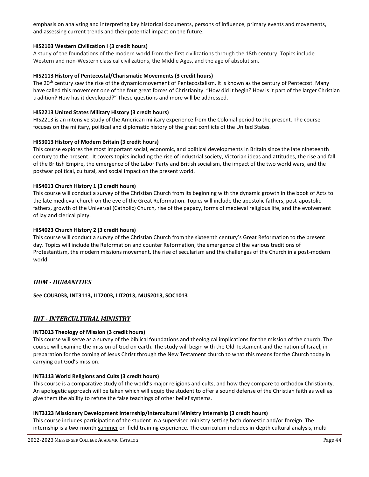emphasis on analyzing and interpreting key historical documents, persons of influence, primary events and movements, and assessing current trends and their potential impact on the future.

#### **HIS2103 Western Civilization I (3 credit hours)**

A study of the foundations of the modern world from the first civilizations through the 18th century. Topics include Western and non-Western classical civilizations, the Middle Ages, and the age of absolutism.

#### **HIS2113 History of Pentecostal/Charismatic Movements (3 credit hours)**

The 20<sup>th</sup> century saw the rise of the dynamic movement of Pentecostalism. It is known as the century of Pentecost. Many have called this movement one of the four great forces of Christianity. "How did it begin? How is it part of the larger Christian tradition? How has it developed?" These questions and more will be addressed.

#### **HIS2213 United States Military History (3 credit hours)**

HIS2213 is an intensive study of the American military experience from the Colonial period to the present. The course focuses on the military, political and diplomatic history of the great conflicts of the United States.

#### **HIS3013 History of Modern Britain (3 credit hours)**

This course explores the most important social, economic, and political developments in Britain since the late nineteenth century to the present. It covers topics including the rise of industrial society, Victorian ideas and attitudes, the rise and fall of the British Empire, the emergence of the Labor Party and British socialism, the impact of the two world wars, and the postwar political, cultural, and social impact on the present world.

#### **HIS4013 Church History 1 (3 credit hours)**

This course will conduct a survey of the Christian Church from its beginning with the dynamic growth in the book of Acts to the late medieval church on the eve of the Great Reformation. Topics will include the apostolic fathers, post-apostolic fathers, growth of the Universal (Catholic) Church, rise of the papacy, forms of medieval religious life, and the evolvement of lay and clerical piety.

#### **HIS4023 Church History 2 (3 credit hours)**

This course will conduct a survey of the Christian Church from the sixteenth century's Great Reformation to the present day. Topics will include the Reformation and counter Reformation, the emergence of the various traditions of Protestantism, the modern missions movement, the rise of secularism and the challenges of the Church in a post-modern world.

#### *HUM - HUMANITIES*

**See COU3033, INT3113, LIT2003, LIT2013, MUS2013, SOC1013**

#### *INT - INTERCULTURAL MINISTRY*

#### **INT3013 Theology of Mission (3 credit hours)**

This course will serve as a survey of the biblical foundations and theological implications for the mission of the church. The course will examine the mission of God on earth. The study will begin with the Old Testament and the nation of Israel, in preparation for the coming of Jesus Christ through the New Testament church to what this means for the Church today in carrying out God's mission.

#### **INT3113 World Religions and Cults (3 credit hours)**

This course is a comparative study of the world's major religions and cults, and how they compare to orthodox Christianity. An apologetic approach will be taken which will equip the student to offer a sound defense of the Christian faith as well as give them the ability to refute the false teachings of other belief systems.

#### **INT3123 Missionary Development Internship/Intercultural Ministry Internship (3 credit hours)**

This course includes participation of the student in a supervised ministry setting both domestic and/or foreign. The internship is a two-month summer on-field training experience. The curriculum includes in-depth cultural analysis, multi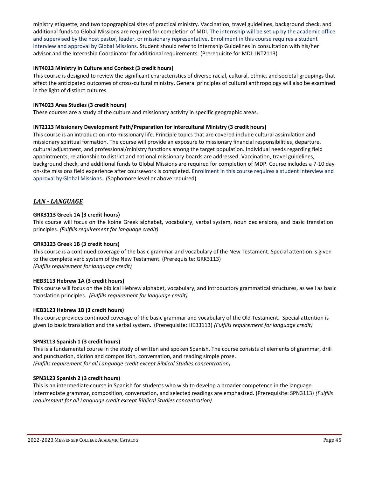ministry etiquette, and two topographical sites of practical ministry. Vaccination, travel guidelines, background check, and additional funds to Global Missions are required for completion of MDI. The internship will be set up by the academic office and supervised by the host pastor, leader, or missionary representative. Enrollment in this course requires a student interview and approval by Global Missions. Student should refer to Internship Guidelines in consultation with his/her advisor and the Internship Coordinator for additional requirements. (Prerequisite for MDI: INT2113)

#### **INT4013 Ministry in Culture and Context (3 credit hours)**

This course is designed to review the significant characteristics of diverse racial, cultural, ethnic, and societal groupings that affect the anticipated outcomes of cross-cultural ministry. General principles of cultural anthropology will also be examined in the light of distinct cultures.

#### **INT4023 Area Studies (3 credit hours)**

These courses are a study of the culture and missionary activity in specific geographic areas.

#### **INT2113 Missionary Development Path/Preparation for Intercultural Ministry (3 credit hours)**

This course is an introduction into missionary life. Principle topics that are covered include cultural assimilation and missionary spiritual formation. The course will provide an exposure to missionary financial responsibilities, departure, cultural adjustment, and professional/ministry functions among the target population. Individual needs regarding field appointments, relationship to district and national missionary boards are addressed. Vaccination, travel guidelines, background check, and additional funds to Global Missions are required for completion of MDP. Course includes a 7-10 day on-site missions field experience after coursework is completed. Enrollment in this course requires a student interview and approval by Global Missions. (Sophomore level or above required)

#### *LAN - LANGUAGE*

#### **GRK3113 Greek 1A (3 credit hours)**

This course will focus on the koine Greek alphabet, vocabulary, verbal system, noun declensions, and basic translation principles. *(Fulfills requirement for language credit)*

#### **GRK3123 Greek 1B (3 credit hours)**

This course is a continued coverage of the basic grammar and vocabulary of the New Testament. Special attention is given to the complete verb system of the New Testament. (Prerequisite: GRK3113) *(Fulfills requirement for language credit)*

#### **HEB3113 Hebrew 1A (3 credit hours)**

This course will focus on the biblical Hebrew alphabet, vocabulary, and introductory grammatical structures, as well as basic translation principles. *(Fulfills requirement for language credit)*

#### **HEB3123 Hebrew 1B (3 credit hours)**

This course provides continued coverage of the basic grammar and vocabulary of the Old Testament. Special attention is given to basic translation and the verbal system. (Prerequisite: HEB3113) *(Fulfills requirement for language credit)*

#### **SPN3113 Spanish 1 (3 credit hours)**

This is a fundamental course in the study of written and spoken Spanish. The course consists of elements of grammar, drill and punctuation, diction and composition, conversation, and reading simple prose. *(Fulfills requirement for all Language credit except Biblical Studies concentration)*

#### **SPN3123 Spanish 2 (3 credit hours)**

This is an intermediate course in Spanish for students who wish to develop a broader competence in the language. Intermediate grammar, composition, conversation, and selected readings are emphasized. (Prerequisite: SPN3113) *(Fulfills requirement for all Language credit except Biblical Studies concentration)*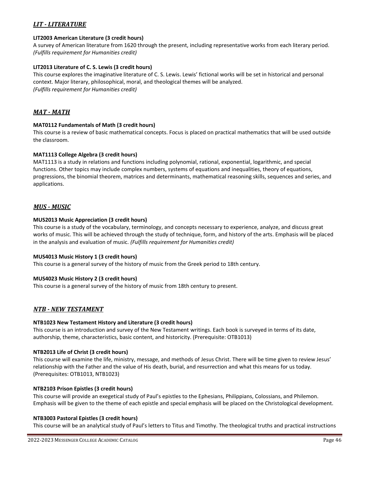#### *LIT - LITERATURE*

#### **LIT2003 American Literature (3 credit hours)**

A survey of American literature from 1620 through the present, including representative works from each literary period. *(Fulfills requirement for Humanities credit)*

#### **LIT2013 Literature of C. S. Lewis (3 credit hours)**

This course explores the imaginative literature of C. S. Lewis. Lewis' fictional works will be set in historical and personal context. Major literary, philosophical, moral, and theological themes will be analyzed. *(Fulfills requirement for Humanities credit)*

#### *MAT - MATH*

#### **MAT0112 Fundamentals of Math (3 credit hours)**

This course is a review of basic mathematical concepts. Focus is placed on practical mathematics that will be used outside the classroom.

#### **MAT1113 College Algebra (3 credit hours)**

MAT1113 is a study in relations and functions including polynomial, rational, exponential, logarithmic, and special functions. Other topics may include complex numbers, systems of equations and inequalities, theory of equations, progressions, the binomial theorem, matrices and determinants, mathematical reasoning skills, sequences and series, and applications.

#### *MUS - MUSIC*

#### **MUS2013 Music Appreciation (3 credit hours)**

This course is a study of the vocabulary, terminology, and concepts necessary to experience, analyze, and discuss great works of music. This will be achieved through the study of technique, form, and history of the arts. Emphasis will be placed in the analysis and evaluation of music. *(Fulfills requirement for Humanities credit)*

#### **MUS4013 Music History 1 (3 credit hours)**

This course is a general survey of the history of music from the Greek period to 18th century.

#### **MUS4023 Music History 2 (3 credit hours)**

This course is a general survey of the history of music from 18th century to present.

#### *NTB - NEW TESTAMENT*

#### **NTB1023 New Testament History and Literature (3 credit hours)**

This course is an introduction and survey of the New Testament writings. Each book is surveyed in terms of its date, authorship, theme, characteristics, basic content, and historicity. (Prerequisite: OTB1013)

#### **NTB2013 Life of Christ (3 credit hours)**

This course will examine the life, ministry, message, and methods of Jesus Christ. There will be time given to review Jesus' relationship with the Father and the value of His death, burial, and resurrection and what this means for us today. (Prerequisites: OTB1013, NTB1023)

#### **NTB2103 Prison Epistles (3 credit hours)**

This course will provide an exegetical study of Paul's epistles to the Ephesians, Philippians, Colossians, and Philemon. Emphasis will be given to the theme of each epistle and special emphasis will be placed on the Christological development.

#### **NTB3003 Pastoral Epistles (3 credit hours)**

This course will be an analytical study of Paul's letters to Titus and Timothy. The theological truths and practical instructions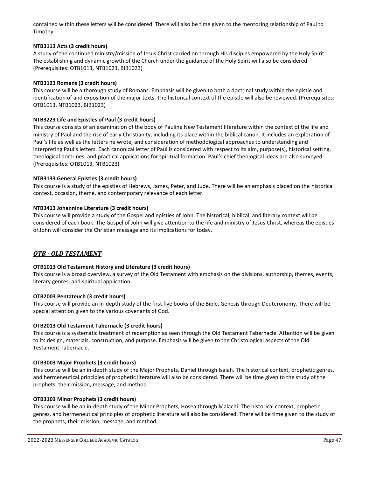contained within these letters will be considered. There will also be time given to the mentoring relationship of Paul to Timothy.

#### **NTB3113 Acts (3 credit hours)**

A study of the continued ministry/mission of Jesus Christ carried on through His disciples empowered by the Holy Spirit. The establishing and dynamic growth of the Church under the guidance of the Holy Spirit will also be considered. (Prerequisites: OTB1013, NTB1023, BIB1023)

#### **NTB3123 Romans (3 credit hours)**

This course will be a thorough study of Romans. Emphasis will be given to both a doctrinal study within the epistle and identification of and exposition of the major texts. The historical context of the epistle will also be reviewed. (Prerequisites: OTB1013, NTB1023, BIB1023)

#### **NTB3223 Life and Epistles of Paul (3 credit hours)**

This course consists of an examination of the body of Pauline New Testament literature within the context of the life and ministry of Paul and the rise of early Christianity, including its place within the biblical canon. It includes an exploration of Paul's life as well as the letters he wrote, and consideration of methodological approaches to understanding and interpreting Paul's letters. Each canonical letter of Paul is considered with respect to its aim, purpose(s), historical setting, theological doctrines, and practical applications for spiritual formation. Paul's chief theological ideas are also surveyed. (Prerequisites: OTB1013, NTB1023)

#### **NTB3133 General Epistles (3 credit hours)**

This course is a study of the epistles of Hebrews, James, Peter, and Jude. There will be an emphasis placed on the historical context, occasion, theme, and contemporary relevance of each letter.

#### **NTB3413 Johannine Literature (3 credit hours)**

This course will provide a study of the Gospel and epistles of John. The historical, biblical, and literary context will be considered of each book. The Gospel of John will give attention to the life and ministry of Jesus Christ, whereas the epistles of John will consider the Christian message and its implications for today.

#### *OTB - OLD TESTAMENT*

#### **OTB1013 Old Testament History and Literature (3 credit hours)**

This course is a broad overview, a survey of the Old Testament with emphasis on the divisions, authorship, themes, events, literary genres, and spiritual application.

#### **OTB2003 Pentateuch (3 credit hours)**

This course will provide an in-depth study of the first five books of the Bible, Genesis through Deuteronomy. There will be special attention given to the various covenants of God.

#### **OTB2013 Old Testament Tabernacle (3 credit hours)**

This course is a systematic treatment of redemption as seen through the Old Testament Tabernacle. Attention will be given to its design, materials, construction, and purpose. Emphasis will be given to the Christological aspects of the Old Testament Tabernacle.

#### **OTB3003 Major Prophets (3 credit hours)**

This course will be an in-depth study of the Major Prophets, Daniel through Isaiah. The historical context, prophetic genres, and hermeneutical principles of prophetic literature will also be considered. There will be time given to the study of the prophets, their mission, message, and method.

#### **OTB3103 Minor Prophets (3 credit hours)**

This course will be an in-depth study of the Minor Prophets, Hosea through Malachi. The historical context, prophetic genres, and hermeneutical principles of prophetic literature will also be considered. There will be time given to the study of the prophets, their mission, message, and method.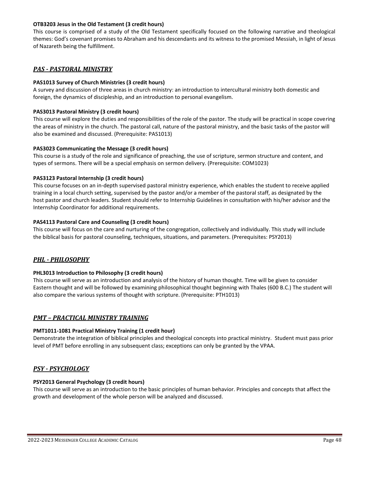#### **OTB3203 Jesus in the Old Testament (3 credit hours)**

This course is comprised of a study of the Old Testament specifically focused on the following narrative and theological themes: God's covenant promises to Abraham and his descendants and its witness to the promised Messiah, in light of Jesus of Nazareth being the fulfillment.

#### *PAS - PASTORAL MINISTRY*

#### **PAS1013 Survey of Church Ministries (3 credit hours)**

A survey and discussion of three areas in church ministry: an introduction to intercultural ministry both domestic and foreign, the dynamics of discipleship, and an introduction to personal evangelism.

#### **PAS3013 Pastoral Ministry (3 credit hours)**

This course will explore the duties and responsibilities of the role of the pastor. The study will be practical in scope covering the areas of ministry in the church. The pastoral call, nature of the pastoral ministry, and the basic tasks of the pastor will also be examined and discussed. (Prerequisite: PAS1013)

#### **PAS3023 Communicating the Message (3 credit hours)**

This course is a study of the role and significance of preaching, the use of scripture, sermon structure and content, and types of sermons. There will be a special emphasis on sermon delivery. (Prerequisite: COM1023)

#### **PAS3123 Pastoral Internship (3 credit hours)**

This course focuses on an in-depth supervised pastoral ministry experience, which enables the student to receive applied training in a local church setting, supervised by the pastor and/or a member of the pastoral staff, as designated by the host pastor and church leaders. Student should refer to Internship Guidelines in consultation with his/her advisor and the Internship Coordinator for additional requirements.

#### **PAS4113 Pastoral Care and Counseling (3 credit hours)**

This course will focus on the care and nurturing of the congregation, collectively and individually. This study will include the biblical basis for pastoral counseling, techniques, situations, and parameters. (Prerequisites: PSY2013)

#### *PHL - PHILOSOPHY*

#### **PHL3013 Introduction to Philosophy (3 credit hours)**

This course will serve as an introduction and analysis of the history of human thought. Time will be given to consider Eastern thought and will be followed by examining philosophical thought beginning with Thales (600 B.C.) The student will also compare the various systems of thought with scripture. (Prerequisite: PTH1013)

#### *PMT – PRACTICAL MINISTRY TRAINING*

#### **PMT1011-1081 Practical Ministry Training (1 credit hour)**

Demonstrate the integration of biblical principles and theological concepts into practical ministry. Student must pass prior level of PMT before enrolling in any subsequent class; exceptions can only be granted by the VPAA.

#### *PSY - PSYCHOLOGY*

#### **PSY2013 General Psychology (3 credit hours)**

This course will serve as an introduction to the basic principles of human behavior. Principles and concepts that affect the growth and development of the whole person will be analyzed and discussed.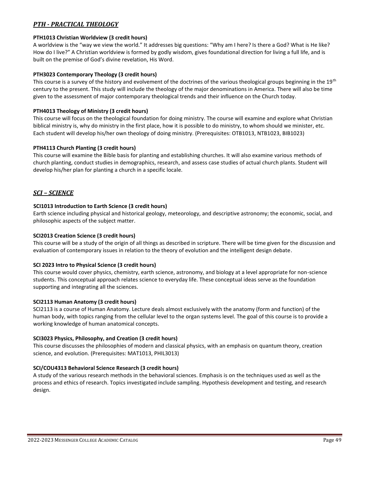#### *PTH - PRACTICAL THEOLOGY*

#### **PTH1013 Christian Worldview (3 credit hours)**

A worldview is the "way we view the world." It addresses big questions: "Why am I here? Is there a God? What is He like? How do I live?" A Christian worldview is formed by godly wisdom, gives foundational direction for living a full life, and is built on the premise of God's divine revelation, His Word.

#### **PTH3023 Contemporary Theology (3 credit hours)**

This course is a survey of the history and evolvement of the doctrines of the various theological groups beginning in the  $19<sup>th</sup>$ century to the present. This study will include the theology of the major denominations in America. There will also be time given to the assessment of major contemporary theological trends and their influence on the Church today.

#### **PTH4013 Theology of Ministry (3 credit hours)**

This course will focus on the theological foundation for doing ministry. The course will examine and explore what Christian biblical ministry is, why do ministry in the first place, how it is possible to do ministry, to whom should we minister, etc. Each student will develop his/her own theology of doing ministry. (Prerequisites: OTB1013, NTB1023, BIB1023)

#### **PTH4113 Church Planting (3 credit hours)**

This course will examine the Bible basis for planting and establishing churches. It will also examine various methods of church planting, conduct studies in demographics, research, and assess case studies of actual church plants. Student will develop his/her plan for planting a church in a specific locale.

#### *SCI – SCIENCE*

#### **SCI1013 Introduction to Earth Science (3 credit hours)**

Earth science including physical and historical geology, meteorology, and descriptive astronomy; the economic, social, and philosophic aspects of the subject matter.

#### **SCI2013 Creation Science (3 credit hours)**

This course will be a study of the origin of all things as described in scripture. There will be time given for the discussion and evaluation of contemporary issues in relation to the theory of evolution and the intelligent design debate.

#### **SCI 2023 Intro to Physical Science (3 credit hours)**

This course would cover physics, chemistry, earth science, astronomy, and biology at a level appropriate for non-science students. This conceptual approach relates science to everyday life. These conceptual ideas serve as the foundation supporting and integrating all the sciences.

#### **SCI2113 Human Anatomy (3 credit hours)**

SCI2113 is a course of Human Anatomy. Lecture deals almost exclusively with the anatomy (form and function) of the human body, with topics ranging from the cellular level to the organ systems level. The goal of this course is to provide a working knowledge of human anatomical concepts.

#### **SCI3023 Physics, Philosophy, and Creation (3 credit hours)**

This course discusses the philosophies of modern and classical physics, with an emphasis on quantum theory, creation science, and evolution. (Prerequisites: MAT1013, PHIL3013)

#### **SCI/COU4313 Behavioral Science Research (3 credit hours)**

A study of the various research methods in the behavioral sciences. Emphasis is on the techniques used as well as the process and ethics of research. Topics investigated include sampling. Hypothesis development and testing, and research design.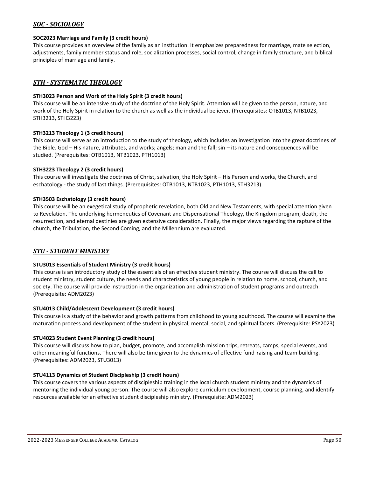#### *SOC - SOCIOLOGY*

#### **SOC2023 Marriage and Family (3 credit hours)**

This course provides an overview of the family as an institution. It emphasizes preparedness for marriage, mate selection, adjustments, family member status and role, socialization processes, social control, change in family structure, and biblical principles of marriage and family.

#### *STH - SYSTEMATIC THEOLOGY*

#### **STH3023 Person and Work of the Holy Spirit (3 credit hours)**

This course will be an intensive study of the doctrine of the Holy Spirit. Attention will be given to the person, nature, and work of the Holy Spirit in relation to the church as well as the individual believer. (Prerequisites: OTB1013, NTB1023, STH3213, STH3223)

#### **STH3213 Theology 1 (3 credit hours)**

This course will serve as an introduction to the study of theology, which includes an investigation into the great doctrines of the Bible. God – His nature, attributes, and works; angels; man and the fall; sin – its nature and consequences will be studied. (Prerequisites: OTB1013, NTB1023, PTH1013)

#### **STH3223 Theology 2 (3 credit hours)**

This course will investigate the doctrines of Christ, salvation, the Holy Spirit – His Person and works, the Church, and eschatology - the study of last things. (Prerequisites: OTB1013, NTB1023, PTH1013, STH3213)

#### **STH3503 Eschatology (3 credit hours)**

This course will be an exegetical study of prophetic revelation, both Old and New Testaments, with special attention given to Revelation. The underlying hermeneutics of Covenant and Dispensational Theology, the Kingdom program, death, the resurrection, and eternal destinies are given extensive consideration. Finally, the major views regarding the rapture of the church, the Tribulation, the Second Coming, and the Millennium are evaluated.

#### *STU - STUDENT MINISTRY*

#### **STU3013 Essentials of Student Ministry (3 credit hours)**

This course is an introductory study of the essentials of an effective student ministry. The course will discuss the call to student ministry, student culture, the needs and characteristics of young people in relation to home, school, church, and society. The course will provide instruction in the organization and administration of student programs and outreach. (Prerequisite: ADM2023)

#### **STU4013 Child/Adolescent Development (3 credit hours)**

This course is a study of the behavior and growth patterns from childhood to young adulthood. The course will examine the maturation process and development of the student in physical, mental, social, and spiritual facets. (Prerequisite: PSY2023)

#### **STU4023 Student Event Planning (3 credit hours)**

This course will discuss how to plan, budget, promote, and accomplish mission trips, retreats, camps, special events, and other meaningful functions. There will also be time given to the dynamics of effective fund-raising and team building. (Prerequisites: ADM2023, STU3013)

#### **STU4113 Dynamics of Student Discipleship (3 credit hours)**

This course covers the various aspects of discipleship training in the local church student ministry and the dynamics of mentoring the individual young person. The course will also explore curriculum development, course planning, and identify resources available for an effective student discipleship ministry. (Prerequisite: ADM2023)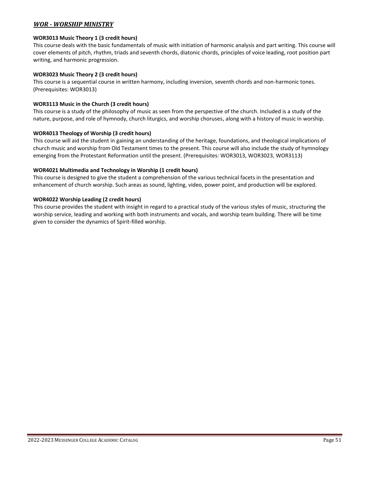#### *WOR - WORSHIP MINISTRY*

#### **WOR3013 Music Theory 1 (3 credit hours)**

This course deals with the basic fundamentals of music with initiation of harmonic analysis and part writing. This course will cover elements of pitch, rhythm, triads and seventh chords, diatonic chords, principles of voice leading, root position part writing, and harmonic progression.

#### **WOR3023 Music Theory 2 (3 credit hours)**

This course is a sequential course in written harmony, including inversion, seventh chords and non-harmonic tones. (Prerequisites: WOR3013)

#### **WOR3113 Music in the Church (3 credit hours)**

This course is a study of the philosophy of music as seen from the perspective of the church. Included is a study of the nature, purpose, and role of hymnody, church liturgics, and worship choruses, along with a history of music in worship.

#### **WOR4013 Theology of Worship (3 credit hours)**

This course will aid the student in gaining an understanding of the heritage, foundations, and theological implications of church music and worship from Old Testament times to the present. This course will also include the study of hymnology emerging from the Protestant Reformation until the present. (Prerequisites: WOR3013, WOR3023, WOR3113)

#### **WOR4021 Multimedia and Technology in Worship (1 credit hours)**

This course is designed to give the student a comprehension of the various technical facets in the presentation and enhancement of church worship. Such areas as sound, lighting, video, power point, and production will be explored.

#### **WOR4022 Worship Leading (2 credit hours)**

<span id="page-50-0"></span>This course provides the student with insight in regard to a practical study of the various styles of music, structuring the worship service, leading and working with both instruments and vocals, and worship team building. There will be time given to consider the dynamics of Spirit-filled worship.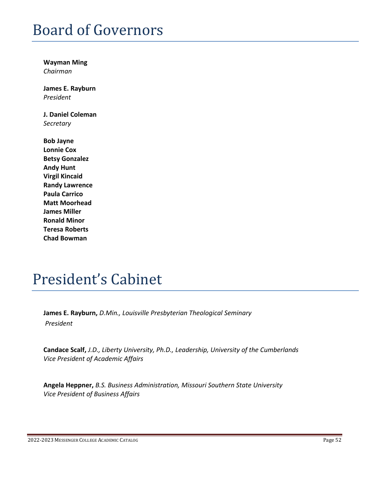## Board of Governors

**Wayman Ming** *Chairman*

**James E. Rayburn**  *President*

**J. Daniel Coleman**  *Secretary*

**Bob Jayne Lonnie Cox Betsy Gonzalez Andy Hunt Virgil Kincaid Randy Lawrence Paula Carrico Matt Moorhead James Miller Ronald Minor Teresa Roberts Chad Bowman**

## <span id="page-51-0"></span>President's Cabinet

**James E. Rayburn,** *D.Min., Louisville Presbyterian Theological Seminary President*

**Candace Scalf,** *J.D., Liberty University, Ph.D., Leadership, University of the Cumberlands Vice President of Academic Affairs*

**Angela Heppner,** *B.S. Business Administration, Missouri Southern State University Vice President of Business Affairs*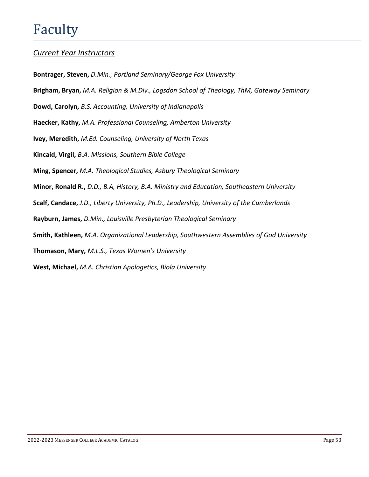## Faculty

## *Current Year Instructors*

**Bontrager, Steven,** *D.Min., Portland Seminary/George Fox University*

**Brigham, Bryan,** *M.A. Religion & M.Div., Logsdon School of Theology, ThM, Gateway Seminary*

**Dowd, Carolyn,** *B.S. Accounting, University of Indianapolis*

**Haecker, Kathy,** *M.A. Professional Counseling, Amberton University*

**Ivey, Meredith,** *M.Ed. Counseling, University of North Texas*

**Kincaid, Virgil,** *B.A. Missions, Southern Bible College*

**Ming, Spencer,** *M.A. Theological Studies, Asbury Theological Seminary*

**Minor, Ronald R.,** *D.D., B.A, History, B.A. Ministry and Education, Southeastern University*

**Scalf, Candace,** *J.D., Liberty University, Ph.D., Leadership, University of the Cumberlands*

**Rayburn, James,** *D.Min., Louisville Presbyterian Theological Seminary*

**Smith, Kathleen,** *M.A. Organizational Leadership, Southwestern Assemblies of God University*

**Thomason, Mary,** *M.L.S., Texas Women's University*

**West, Michael,** *M.A. Christian Apologetics, Biola University*